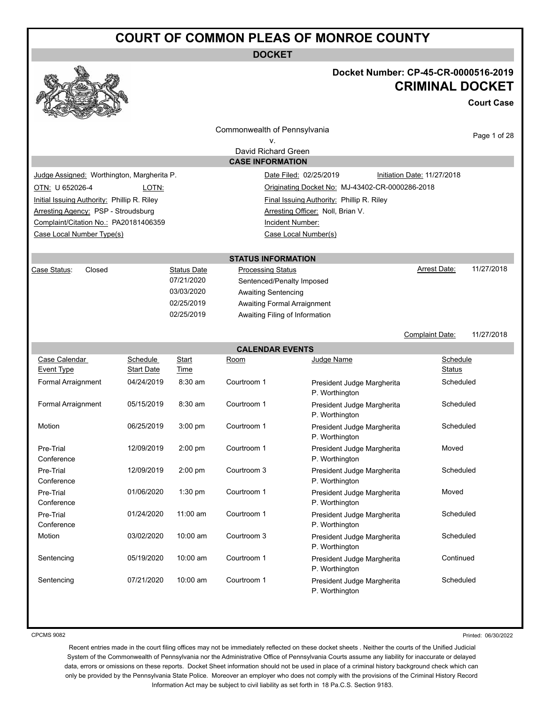**DOCKET**



## **Docket Number: CP-45-CR-0000516-2019 CRIMINAL DOCKET**

**Court Case**

|                                                           |                   |                   | Commonwealth of Pennsylvania                   |                                                 |                             | Page 1 of 28 |
|-----------------------------------------------------------|-------------------|-------------------|------------------------------------------------|-------------------------------------------------|-----------------------------|--------------|
| ν.                                                        |                   |                   |                                                |                                                 |                             |              |
|                                                           |                   |                   | David Richard Green<br><b>CASE INFORMATION</b> |                                                 |                             |              |
|                                                           |                   |                   |                                                |                                                 |                             |              |
| Judge Assigned: Worthington, Margherita P.                |                   |                   |                                                | Date Filed: 02/25/2019                          | Initiation Date: 11/27/2018 |              |
| OTN: U 652026-4                                           | LOTN:             |                   |                                                | Originating Docket No: MJ-43402-CR-0000286-2018 |                             |              |
| Initial Issuing Authority: Phillip R. Riley               |                   |                   |                                                | Final Issuing Authority: Phillip R. Riley       |                             |              |
| Arresting Agency: PSP - Stroudsburg                       |                   |                   |                                                | Arresting Officer: Noll, Brian V.               |                             |              |
| Complaint/Citation No.: PA20181406359<br>Incident Number: |                   |                   |                                                |                                                 |                             |              |
| Case Local Number Type(s)<br>Case Local Number(s)         |                   |                   |                                                |                                                 |                             |              |
|                                                           |                   |                   | <b>STATUS INFORMATION</b>                      |                                                 |                             |              |
| Case Status:<br>Closed                                    |                   | Status Date       | <b>Processing Status</b>                       |                                                 | Arrest Date:                | 11/27/2018   |
|                                                           |                   | 07/21/2020        | Sentenced/Penalty Imposed                      |                                                 |                             |              |
|                                                           |                   | 03/03/2020        | <b>Awaiting Sentencing</b>                     |                                                 |                             |              |
|                                                           |                   | 02/25/2019        | Awaiting Formal Arraignment                    |                                                 |                             |              |
|                                                           |                   | 02/25/2019        | Awaiting Filing of Information                 |                                                 |                             |              |
|                                                           |                   |                   |                                                |                                                 |                             |              |
|                                                           |                   |                   |                                                |                                                 | Complaint Date:             | 11/27/2018   |
|                                                           |                   |                   | <b>CALENDAR EVENTS</b>                         |                                                 |                             |              |
| Case Calendar                                             | Schedule          | Start             | Room                                           | Judge Name                                      | Schedule                    |              |
| Event Type                                                | <b>Start Date</b> | Time              |                                                |                                                 | Status                      |              |
| Formal Arraignment                                        | 04/24/2019        | 8:30 am           | Courtroom 1                                    | President Judge Margherita<br>P. Worthington    | Scheduled                   |              |
| Formal Arraignment                                        | 05/15/2019        | 8:30 am           | Courtroom 1                                    | President Judge Margherita<br>P. Worthington    | Scheduled                   |              |
| Motion                                                    | 06/25/2019        | $3:00$ pm         | Courtroom 1                                    | President Judge Margherita<br>P. Worthington    | Scheduled                   |              |
| Pre-Trial<br>Conference                                   | 12/09/2019        | $2:00 \text{ pm}$ | Courtroom 1                                    | President Judge Margherita<br>P. Worthington    | Moved                       |              |
| Pre-Trial<br>Conference                                   | 12/09/2019        | $2:00$ pm         | Courtroom 3                                    | President Judge Margherita<br>P. Worthington    | Scheduled                   |              |
| Pre-Trial<br>Conference                                   | 01/06/2020        | $1:30$ pm         | Courtroom 1                                    | President Judge Margherita<br>P. Worthington    | Moved                       |              |
| Pre-Trial<br>Conference                                   | 01/24/2020        | $11:00$ am        | Courtroom 1                                    | President Judge Margherita<br>P. Worthington    | Scheduled                   |              |
| Motion                                                    | 03/02/2020        | 10:00 am          | Courtroom 3                                    | President Judge Margherita<br>P. Worthington    | Scheduled                   |              |
| Sentencing                                                | 05/19/2020        | 10:00 am          | Courtroom 1                                    | President Judge Margherita<br>P. Worthington    | Continued                   |              |
| Sentencing                                                | 07/21/2020        | 10:00 am          | Courtroom 1                                    | President Judge Margherita                      | Scheduled                   |              |

CPCMS 9082

Printed: 06/30/2022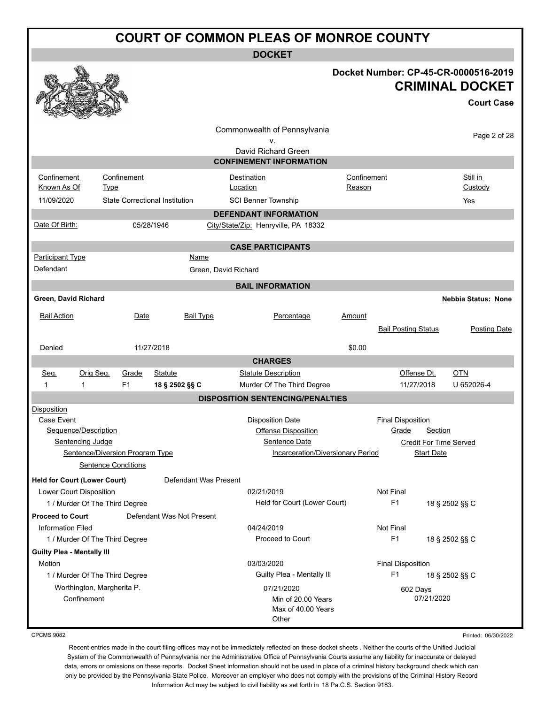**DOCKET**

|                                                                              |                     |                                 |                                       | UUUNE I                                                                                     |                                          |                                                                                         |                                                                                     |
|------------------------------------------------------------------------------|---------------------|---------------------------------|---------------------------------------|---------------------------------------------------------------------------------------------|------------------------------------------|-----------------------------------------------------------------------------------------|-------------------------------------------------------------------------------------|
|                                                                              |                     |                                 |                                       |                                                                                             |                                          |                                                                                         | Docket Number: CP-45-CR-0000516-2019<br><b>CRIMINAL DOCKET</b><br><b>Court Case</b> |
|                                                                              |                     |                                 |                                       | Commonwealth of Pennsylvania<br>ν.<br>David Richard Green<br><b>CONFINEMENT INFORMATION</b> |                                          |                                                                                         | Page 2 of 28                                                                        |
|                                                                              |                     |                                 |                                       |                                                                                             |                                          |                                                                                         |                                                                                     |
| Confinement<br>Known As Of                                                   | <b>Type</b>         | Confinement                     |                                       | Destination<br>Location                                                                     | Confinement<br>Reason                    |                                                                                         | Still in<br>Custody                                                                 |
| 11/09/2020                                                                   |                     |                                 | <b>State Correctional Institution</b> | <b>SCI Benner Township</b>                                                                  |                                          |                                                                                         | Yes                                                                                 |
|                                                                              |                     |                                 |                                       | <b>DEFENDANT INFORMATION</b>                                                                |                                          |                                                                                         |                                                                                     |
| Date Of Birth:                                                               |                     |                                 | 05/28/1946                            | City/State/Zip: Henryville, PA 18332                                                        |                                          |                                                                                         |                                                                                     |
|                                                                              |                     |                                 |                                       | <b>CASE PARTICIPANTS</b>                                                                    |                                          |                                                                                         |                                                                                     |
| <b>Participant Type</b><br>Defendant                                         |                     |                                 | Name                                  | Green, David Richard                                                                        |                                          |                                                                                         |                                                                                     |
|                                                                              |                     |                                 |                                       | <b>BAIL INFORMATION</b>                                                                     |                                          |                                                                                         |                                                                                     |
| Green, David Richard                                                         |                     |                                 |                                       |                                                                                             |                                          |                                                                                         | <b>Nebbia Status: None</b>                                                          |
| <b>Bail Action</b>                                                           |                     | Date                            | <b>Bail Type</b>                      | Percentage                                                                                  | Amount                                   | <b>Bail Posting Status</b>                                                              | Posting Date                                                                        |
| Denied                                                                       |                     |                                 | 11/27/2018                            |                                                                                             | \$0.00                                   |                                                                                         |                                                                                     |
|                                                                              |                     |                                 |                                       | <b>CHARGES</b>                                                                              |                                          |                                                                                         |                                                                                     |
| Seq.<br>1<br>1                                                               | Orig Seq.           | Grade<br>F <sub>1</sub>         | <b>Statute</b><br>18 § 2502 §§ C      | <b>Statute Description</b><br>Murder Of The Third Degree                                    |                                          | Offense Dt.<br>11/27/2018                                                               | $OTN$<br>U 652026-4                                                                 |
|                                                                              |                     |                                 |                                       | <b>DISPOSITION SENTENCING/PENALTIES</b>                                                     |                                          |                                                                                         |                                                                                     |
| Disposition<br>Case Event<br>Sequence/Description<br><b>Sentencing Judge</b> | Sentence Conditions | Sentence/Diversion Program Type |                                       | <b>Disposition Date</b><br><b>Offense Disposition</b><br>Sentence Date                      | <b>Incarceration/Diversionary Period</b> | <b>Final Disposition</b><br>Grade<br><b>Credit For Time Served</b><br><b>Start Date</b> | Section                                                                             |
| <b>Held for Court (Lower Court)</b>                                          |                     |                                 | Defendant Was Present                 |                                                                                             |                                          |                                                                                         |                                                                                     |
| Lower Court Disposition<br>1 / Murder Of The Third Degree                    |                     |                                 |                                       | 02/21/2019<br>Held for Court (Lower Court)                                                  |                                          | Not Final<br>F <sub>1</sub>                                                             | 18 § 2502 §§ C                                                                      |
| <b>Proceed to Court</b>                                                      |                     |                                 | Defendant Was Not Present             |                                                                                             |                                          |                                                                                         |                                                                                     |
| <b>Information Filed</b><br>1 / Murder Of The Third Degree                   |                     |                                 |                                       | 04/24/2019<br>Proceed to Court                                                              |                                          | Not Final<br>F <sub>1</sub>                                                             | 18 § 2502 §§ C                                                                      |
| <b>Guilty Plea - Mentally III</b>                                            |                     |                                 |                                       |                                                                                             |                                          |                                                                                         |                                                                                     |
| Motion                                                                       |                     |                                 |                                       | 03/03/2020                                                                                  |                                          | <b>Final Disposition</b>                                                                |                                                                                     |
| 1 / Murder Of The Third Degree                                               |                     |                                 |                                       | Guilty Plea - Mentally III                                                                  |                                          | F <sub>1</sub>                                                                          | 18 § 2502 §§ C                                                                      |
| Worthington, Margherita P.<br>Confinement                                    |                     |                                 |                                       | 07/21/2020<br>Min of 20.00 Years<br>Max of 40.00 Years<br>Other                             |                                          | 602 Days<br>07/21/2020                                                                  |                                                                                     |

CPCMS 9082

Printed: 06/30/2022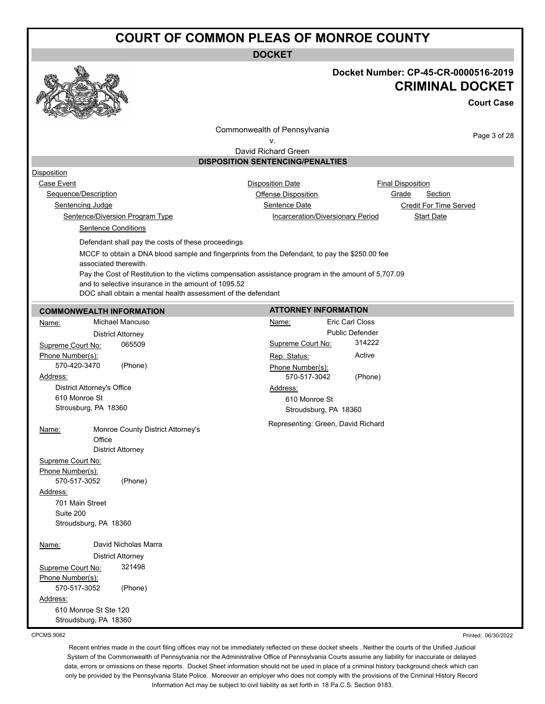**DOCKET**



### **Docket Number: CP-45-CR-0000516-2019 CRIMINAL DOCKET**

**Court Case**

Commonwealth of Pennsylvania

Page 3 of 28

v. David Richard Green

#### **DISPOSITION SENTENCING/PENALTIES**

Disposition

Case Event **Case Event Case Event Disposition Date Case Event Case Event Case Event Case Event Case Event C** and **C** and **C** and **C** and **C** and **C** and **C** and **C** and **C** and **C** and **C** and **C** and **C** a Sequence/Description **Contact Contact Contact Contact Contact Contact Contact Contact Contact Contact Contact Contact Contact Contact Contact Contact Contact Contact Contact Contact Contact Contact Contact Contact Contact** 

Sentence/Diversion Program Type Incarceration/Diversionary Period Start Date

Sentencing Judge Sentence Date Credit For Time Served

Sentence Conditions

Defendant shall pay the costs of these proceedings

MCCF to obtain a DNA blood sample and fingerprints from the Defendant, to pay the \$250.00 fee associated therewith.

Pay the Cost of Restitution to the victims compensation assistance program in the amount of 5,707.09 and to selective insurance in the amount of 1095.52

DOC shall obtain a mental health assessment of the defendant

| <b>COMMONWEALTH INFORMATION</b>   |                                   | <b>ATTORNEY INFORMATION</b> |                                    |
|-----------------------------------|-----------------------------------|-----------------------------|------------------------------------|
| Name:                             | Michael Mancuso                   | Name:                       | Eric Carl Closs                    |
|                                   | <b>District Attorney</b>          |                             | <b>Public Defender</b>             |
| Supreme Court No:                 | 065509                            | Supreme Court No:           | 314222                             |
| Phone Number(s):                  |                                   | Rep. Status:                | Active                             |
| 570-420-3470                      | (Phone)                           | Phone Number(s):            |                                    |
| Address:                          |                                   | 570-517-3042                | (Phone)                            |
| <b>District Attorney's Office</b> |                                   | Address:                    |                                    |
| 610 Monroe St                     |                                   | 610 Monroe St               |                                    |
| Strousburg, PA 18360              |                                   | Stroudsburg, PA 18360       |                                    |
|                                   |                                   |                             | Representing: Green, David Richard |
| Name:                             | Monroe County District Attorney's |                             |                                    |
| Office                            |                                   |                             |                                    |
|                                   | <b>District Attorney</b>          |                             |                                    |
| Supreme Court No:                 |                                   |                             |                                    |
| Phone Number(s):<br>570-517-3052  |                                   |                             |                                    |
|                                   | (Phone)                           |                             |                                    |
| Address:                          |                                   |                             |                                    |
| 701 Main Street<br>Suite 200      |                                   |                             |                                    |
| Stroudsburg, PA 18360             |                                   |                             |                                    |
|                                   |                                   |                             |                                    |
| Name:                             | David Nicholas Marra              |                             |                                    |
|                                   | <b>District Attorney</b>          |                             |                                    |
| Supreme Court No:                 | 321498                            |                             |                                    |
| Phone Number(s):                  |                                   |                             |                                    |
| 570-517-3052                      | (Phone)                           |                             |                                    |
| Address:                          |                                   |                             |                                    |
| 610 Monroe St Ste 120             |                                   |                             |                                    |
| Stroudsburg, PA 18360             |                                   |                             |                                    |

CPCMS 9082

Printed: 06/30/2022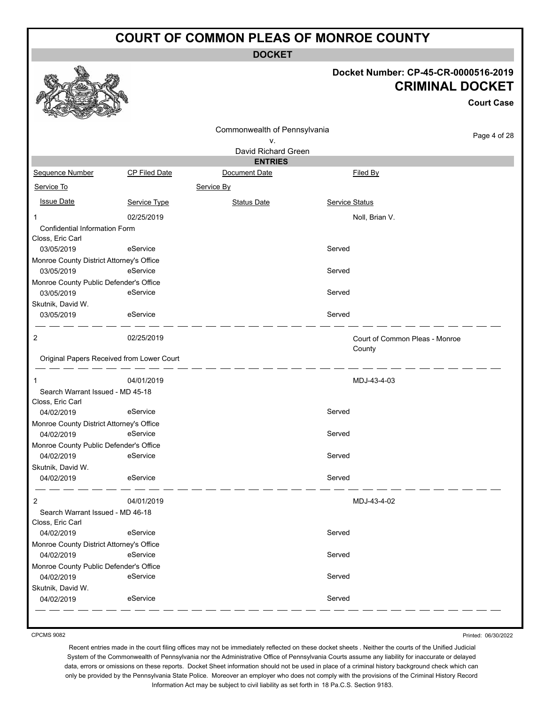**DOCKET**

#### **Docket Number: CP-45-CR-0000516-2019 CRIMINAL DOCKET**

|                                                        |                                           |                                    |        |                                          | <b>Court Case</b> |
|--------------------------------------------------------|-------------------------------------------|------------------------------------|--------|------------------------------------------|-------------------|
|                                                        |                                           | Commonwealth of Pennsylvania<br>۷. |        |                                          | Page 4 of 28      |
|                                                        |                                           | David Richard Green                |        |                                          |                   |
| Sequence Number                                        | CP Filed Date                             | <b>ENTRIES</b><br>Document Date    |        | Filed By                                 |                   |
| Service To                                             |                                           | Service By                         |        |                                          |                   |
| <b>Issue Date</b>                                      | Service Type                              | <b>Status Date</b>                 |        | Service Status                           |                   |
| $\mathbf{1}$                                           | 02/25/2019                                |                                    |        | Noll, Brian V.                           |                   |
| Confidential Information Form<br>Closs, Eric Carl      |                                           |                                    |        |                                          |                   |
| 03/05/2019                                             | eService                                  |                                    | Served |                                          |                   |
| Monroe County District Attorney's Office<br>03/05/2019 | eService                                  |                                    | Served |                                          |                   |
| Monroe County Public Defender's Office<br>03/05/2019   | eService                                  |                                    | Served |                                          |                   |
| Skutnik, David W.<br>03/05/2019                        | eService                                  |                                    | Served |                                          |                   |
| $\overline{2}$                                         | 02/25/2019                                |                                    |        | Court of Common Pleas - Monroe<br>County |                   |
|                                                        | Original Papers Received from Lower Court |                                    |        |                                          |                   |
| 1                                                      | 04/01/2019                                |                                    |        | MDJ-43-4-03                              |                   |
| Search Warrant Issued - MD 45-18<br>Closs, Eric Carl   |                                           |                                    |        |                                          |                   |
| 04/02/2019                                             | eService                                  |                                    | Served |                                          |                   |
| Monroe County District Attorney's Office<br>04/02/2019 | eService                                  |                                    | Served |                                          |                   |
| Monroe County Public Defender's Office                 |                                           |                                    |        |                                          |                   |
| 04/02/2019                                             | eService                                  |                                    | Served |                                          |                   |
| Skutnik, David W.<br>04/02/2019                        | eService                                  |                                    | Served |                                          |                   |
| $\overline{2}$                                         | 04/01/2019                                |                                    |        | MDJ-43-4-02                              |                   |
| Search Warrant Issued - MD 46-18<br>Closs, Eric Carl   |                                           |                                    |        |                                          |                   |
| 04/02/2019                                             | eService                                  |                                    | Served |                                          |                   |
| Monroe County District Attorney's Office<br>04/02/2019 | eService                                  |                                    | Served |                                          |                   |
| Monroe County Public Defender's Office                 |                                           |                                    |        |                                          |                   |
| 04/02/2019                                             | eService                                  |                                    | Served |                                          |                   |
| Skutnik, David W.<br>04/02/2019                        | eService                                  |                                    | Served |                                          |                   |
|                                                        |                                           |                                    |        |                                          |                   |

CPCMS 9082

Printed: 06/30/2022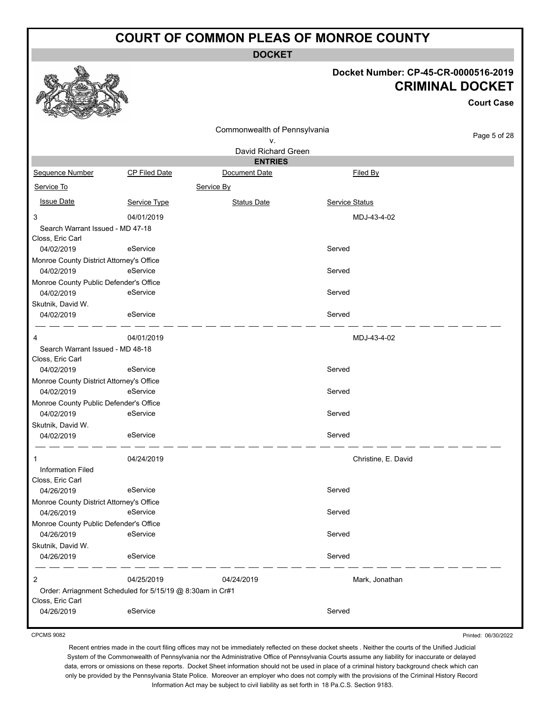**DOCKET**

#### **Docket Number: CP-45-CR-0000516-2019 CRIMINAL DOCKET**

|                                          |                                                           |                                       |                       | UKIIVIIINAL DUUNE I |
|------------------------------------------|-----------------------------------------------------------|---------------------------------------|-----------------------|---------------------|
|                                          |                                                           |                                       |                       | <b>Court Case</b>   |
|                                          |                                                           | Commonwealth of Pennsylvania          |                       | Page 5 of 28        |
|                                          |                                                           | ۷.                                    |                       |                     |
|                                          |                                                           | David Richard Green<br><b>ENTRIES</b> |                       |                     |
| Sequence Number                          | <b>CP Filed Date</b>                                      | Document Date                         | Filed By              |                     |
| Service To                               |                                                           | Service By                            |                       |                     |
| <b>Issue Date</b>                        | Service Type                                              | <b>Status Date</b>                    | <b>Service Status</b> |                     |
| 3                                        | 04/01/2019                                                |                                       | MDJ-43-4-02           |                     |
| Search Warrant Issued - MD 47-18         |                                                           |                                       |                       |                     |
| Closs, Eric Carl                         |                                                           |                                       |                       |                     |
| 04/02/2019                               | eService                                                  |                                       | Served                |                     |
| Monroe County District Attorney's Office |                                                           |                                       |                       |                     |
| 04/02/2019                               | eService                                                  |                                       | Served                |                     |
| Monroe County Public Defender's Office   |                                                           |                                       |                       |                     |
| 04/02/2019                               | eService                                                  |                                       | Served                |                     |
| Skutnik, David W.                        |                                                           |                                       |                       |                     |
| 04/02/2019                               | eService                                                  |                                       | Served                |                     |
| 4                                        | 04/01/2019                                                |                                       | MDJ-43-4-02           |                     |
| Search Warrant Issued - MD 48-18         |                                                           |                                       |                       |                     |
| Closs, Eric Carl                         |                                                           |                                       |                       |                     |
| 04/02/2019                               | eService                                                  |                                       | Served                |                     |
| Monroe County District Attorney's Office |                                                           |                                       |                       |                     |
| 04/02/2019                               | eService                                                  |                                       | Served                |                     |
| Monroe County Public Defender's Office   | eService                                                  |                                       | Served                |                     |
| 04/02/2019                               |                                                           |                                       |                       |                     |
| Skutnik, David W.<br>04/02/2019          | eService                                                  |                                       | Served                |                     |
|                                          |                                                           |                                       |                       |                     |
| 1                                        | 04/24/2019                                                |                                       | Christine, E. David   |                     |
| <b>Information Filed</b>                 |                                                           |                                       |                       |                     |
| Closs, Eric Carl                         |                                                           |                                       |                       |                     |
| 04/26/2019                               | eService                                                  |                                       | Served                |                     |
| Monroe County District Attorney's Office |                                                           |                                       |                       |                     |
| 04/26/2019                               | eService                                                  |                                       | Served                |                     |
| Monroe County Public Defender's Office   |                                                           |                                       |                       |                     |
| 04/26/2019                               | eService                                                  |                                       | Served                |                     |
| Skutnik, David W.                        |                                                           |                                       | Served                |                     |
| 04/26/2019                               | eService                                                  |                                       |                       |                     |
| $\overline{2}$                           | 04/25/2019                                                | 04/24/2019                            | Mark, Jonathan        |                     |
|                                          | Order: Arriagnment Scheduled for 5/15/19 @ 8:30am in Cr#1 |                                       |                       |                     |
| Closs, Eric Carl                         | eService                                                  |                                       | Served                |                     |
| 04/26/2019                               |                                                           |                                       |                       |                     |

CPCMS 9082

**RAA** 

Printed: 06/30/2022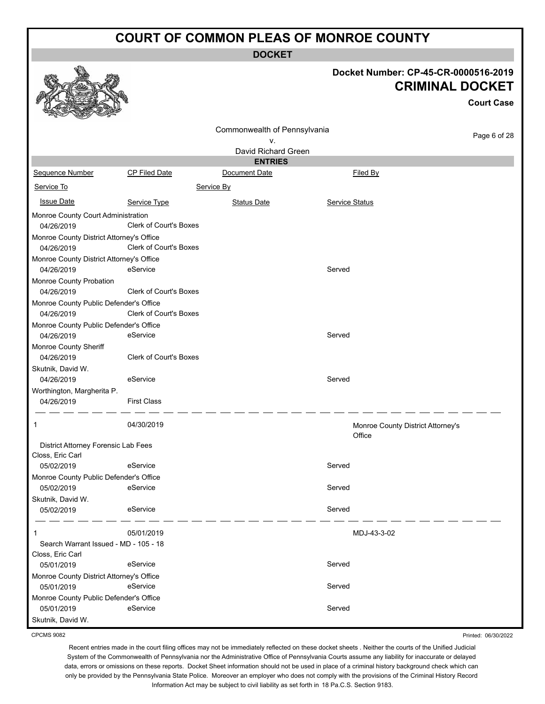**DOCKET**

### **Docket Number: CP-45-CR-0000516-2019 CRIMINAL DOCKET**

**Court Case**

|                                          |                               | Commonwealth of Pennsylvania |                                             |              |
|------------------------------------------|-------------------------------|------------------------------|---------------------------------------------|--------------|
|                                          |                               | ۷.                           |                                             | Page 6 of 28 |
|                                          |                               | David Richard Green          |                                             |              |
|                                          |                               | <b>ENTRIES</b>               |                                             |              |
| Sequence Number                          | CP Filed Date                 | Document Date                | Filed By                                    |              |
| Service To                               |                               | Service By                   |                                             |              |
| <b>Issue Date</b>                        | Service Type                  | <b>Status Date</b>           | <b>Service Status</b>                       |              |
| Monroe County Court Administration       |                               |                              |                                             |              |
| 04/26/2019                               | <b>Clerk of Court's Boxes</b> |                              |                                             |              |
| Monroe County District Attorney's Office |                               |                              |                                             |              |
| 04/26/2019                               | <b>Clerk of Court's Boxes</b> |                              |                                             |              |
| Monroe County District Attorney's Office |                               |                              |                                             |              |
| 04/26/2019                               | eService                      |                              | Served                                      |              |
| Monroe County Probation                  |                               |                              |                                             |              |
| 04/26/2019                               | Clerk of Court's Boxes        |                              |                                             |              |
| Monroe County Public Defender's Office   |                               |                              |                                             |              |
| 04/26/2019                               | Clerk of Court's Boxes        |                              |                                             |              |
| Monroe County Public Defender's Office   |                               |                              |                                             |              |
| 04/26/2019                               | eService                      |                              | Served                                      |              |
| Monroe County Sheriff                    |                               |                              |                                             |              |
| 04/26/2019                               | <b>Clerk of Court's Boxes</b> |                              |                                             |              |
| Skutnik, David W.                        |                               |                              |                                             |              |
| 04/26/2019                               | eService                      |                              | Served                                      |              |
| Worthington, Margherita P.               |                               |                              |                                             |              |
| 04/26/2019                               | <b>First Class</b>            |                              |                                             |              |
| 1                                        | 04/30/2019                    |                              | Monroe County District Attorney's<br>Office |              |
| District Attorney Forensic Lab Fees      |                               |                              |                                             |              |
| Closs, Eric Carl                         |                               |                              |                                             |              |
| 05/02/2019                               | eService                      |                              | Served                                      |              |
| Monroe County Public Defender's Office   |                               |                              |                                             |              |
| 05/02/2019                               | eService                      |                              | Served                                      |              |
| Skutnik, David W.                        |                               |                              |                                             |              |
| 05/02/2019                               | eService                      |                              | Served                                      |              |
| -1                                       | 05/01/2019                    |                              | MDJ-43-3-02                                 |              |
| Search Warrant Issued - MD - 105 - 18    |                               |                              |                                             |              |
| Closs, Eric Carl                         |                               |                              |                                             |              |
| 05/01/2019                               | eService                      |                              | Served                                      |              |
| Monroe County District Attorney's Office |                               |                              |                                             |              |
| 05/01/2019                               | eService                      |                              | Served                                      |              |
| Monroe County Public Defender's Office   |                               |                              |                                             |              |
| 05/01/2019                               | eService                      |                              | Served                                      |              |
| Skutnik, David W.                        |                               |                              |                                             |              |

CPCMS 9082

Printed: 06/30/2022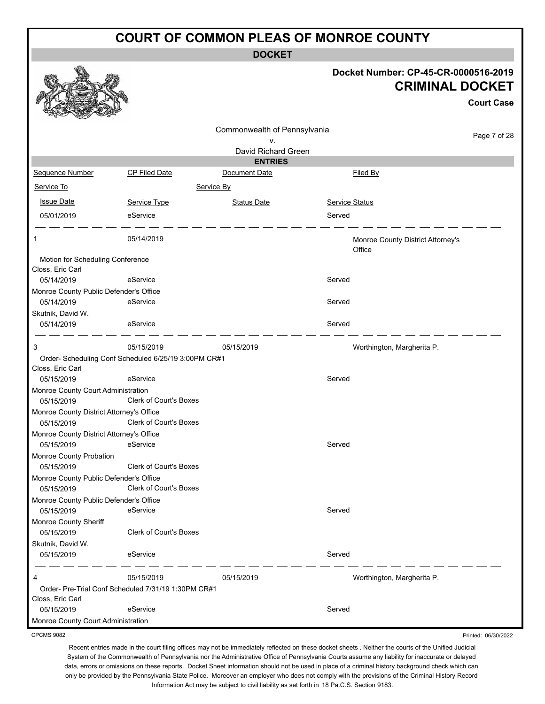**DOCKET**

|                                                      |                                                      | Docket Number: CP-45-CR-0000516-2019<br><b>CRIMINAL DOCKET</b> |                |                                             |  |
|------------------------------------------------------|------------------------------------------------------|----------------------------------------------------------------|----------------|---------------------------------------------|--|
|                                                      |                                                      |                                                                |                | <b>Court Case</b>                           |  |
|                                                      |                                                      | Commonwealth of Pennsylvania                                   |                |                                             |  |
|                                                      |                                                      | ٧.                                                             |                | Page 7 of 28                                |  |
|                                                      |                                                      | David Richard Green                                            |                |                                             |  |
|                                                      |                                                      | <b>ENTRIES</b>                                                 |                |                                             |  |
| Sequence Number                                      | CP Filed Date                                        | Document Date                                                  |                | Filed By                                    |  |
| Service To                                           | Service By                                           |                                                                |                |                                             |  |
| <b>Issue Date</b>                                    | Service Type                                         | <b>Status Date</b>                                             | Service Status |                                             |  |
| 05/01/2019                                           | eService                                             |                                                                | Served         |                                             |  |
|                                                      | 05/14/2019                                           |                                                                |                | Monroe County District Attorney's<br>Office |  |
| Motion for Scheduling Conference                     |                                                      |                                                                |                |                                             |  |
| Closs, Eric Carl<br>05/14/2019                       | eService                                             |                                                                | Served         |                                             |  |
| Monroe County Public Defender's Office               |                                                      |                                                                |                |                                             |  |
| 05/14/2019                                           | eService                                             |                                                                | Served         |                                             |  |
| Skutnik, David W.                                    |                                                      |                                                                |                |                                             |  |
| 05/14/2019                                           | eService                                             |                                                                | Served         |                                             |  |
| 3                                                    | 05/15/2019                                           | 05/15/2019                                                     |                | Worthington, Margherita P.                  |  |
|                                                      | Order- Scheduling Conf Scheduled 6/25/19 3:00PM CR#1 |                                                                |                |                                             |  |
| Closs, Eric Carl<br>05/15/2019                       | eService                                             |                                                                | Served         |                                             |  |
| Monroe County Court Administration                   |                                                      |                                                                |                |                                             |  |
| 05/15/2019                                           | Clerk of Court's Boxes                               |                                                                |                |                                             |  |
| Monroe County District Attorney's Office             |                                                      |                                                                |                |                                             |  |
| 05/15/2019                                           | Clerk of Court's Boxes                               |                                                                |                |                                             |  |
| Monroe County District Attorney's Office             |                                                      |                                                                |                |                                             |  |
| 05/15/2019                                           | eService                                             |                                                                | Served         |                                             |  |
| Monroe County Probation                              |                                                      |                                                                |                |                                             |  |
| 05/15/2019                                           | Clerk of Court's Boxes                               |                                                                |                |                                             |  |
| Monroe County Public Defender's Office               |                                                      |                                                                |                |                                             |  |
| 05/15/2019                                           | Clerk of Court's Boxes                               |                                                                |                |                                             |  |
| Monroe County Public Defender's Office<br>05/15/2019 | eService                                             |                                                                | Served         |                                             |  |
| Monroe County Sheriff                                |                                                      |                                                                |                |                                             |  |
| 05/15/2019                                           | <b>Clerk of Court's Boxes</b>                        |                                                                |                |                                             |  |
| Skutnik, David W.                                    |                                                      |                                                                |                |                                             |  |
| 05/15/2019                                           | eService                                             |                                                                | Served         |                                             |  |
| 4                                                    | 05/15/2019                                           | 05/15/2019                                                     |                | Worthington, Margherita P.                  |  |
|                                                      | Order- Pre-Trial Conf Scheduled 7/31/19 1:30PM CR#1  |                                                                |                |                                             |  |
| Closs, Eric Carl                                     |                                                      |                                                                |                |                                             |  |
| 05/15/2019                                           | eService                                             |                                                                | Served         |                                             |  |
| Monroe County Court Administration                   |                                                      |                                                                |                |                                             |  |
| <b>CPCMS 9082</b>                                    |                                                      |                                                                |                | Printed: 06/30/2022                         |  |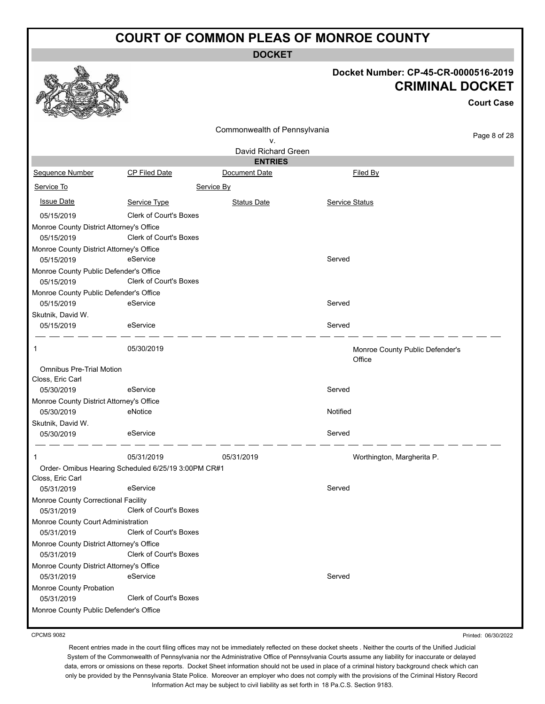**DOCKET**

### **Docket Number: CP-45-CR-0000516-2019 CRIMINAL DOCKET**

**Court Case**

| $\frac{1}{2}$                            |                                                     |                              |                                 |              |
|------------------------------------------|-----------------------------------------------------|------------------------------|---------------------------------|--------------|
|                                          |                                                     | Commonwealth of Pennsylvania |                                 | Page 8 of 28 |
|                                          |                                                     | ٧.                           |                                 |              |
|                                          |                                                     | David Richard Green          |                                 |              |
|                                          |                                                     | <b>ENTRIES</b>               |                                 |              |
| Sequence Number                          | CP Filed Date                                       | Document Date                | Filed By                        |              |
| Service To                               |                                                     | Service By                   |                                 |              |
| <b>Issue Date</b>                        | Service Type                                        | <b>Status Date</b>           | Service Status                  |              |
| 05/15/2019                               | <b>Clerk of Court's Boxes</b>                       |                              |                                 |              |
| Monroe County District Attorney's Office |                                                     |                              |                                 |              |
| 05/15/2019                               | <b>Clerk of Court's Boxes</b>                       |                              |                                 |              |
| Monroe County District Attorney's Office |                                                     |                              |                                 |              |
| 05/15/2019                               | eService                                            |                              | Served                          |              |
| Monroe County Public Defender's Office   |                                                     |                              |                                 |              |
| 05/15/2019                               | Clerk of Court's Boxes                              |                              |                                 |              |
| Monroe County Public Defender's Office   |                                                     |                              |                                 |              |
| 05/15/2019                               | eService                                            |                              | Served                          |              |
| Skutnik, David W.                        |                                                     |                              |                                 |              |
| 05/15/2019                               | eService                                            |                              | Served                          |              |
| 1                                        | 05/30/2019                                          |                              | Monroe County Public Defender's |              |
|                                          |                                                     |                              | Office                          |              |
| <b>Omnibus Pre-Trial Motion</b>          |                                                     |                              |                                 |              |
| Closs, Eric Carl                         |                                                     |                              |                                 |              |
| 05/30/2019                               | eService                                            |                              | Served                          |              |
| Monroe County District Attorney's Office |                                                     |                              |                                 |              |
| 05/30/2019                               | eNotice                                             |                              | Notified                        |              |
| Skutnik, David W.                        |                                                     |                              |                                 |              |
| 05/30/2019                               | eService                                            |                              | Served                          |              |
| 1                                        | 05/31/2019                                          | 05/31/2019                   | Worthington, Margherita P.      |              |
|                                          | Order- Omibus Hearing Scheduled 6/25/19 3:00PM CR#1 |                              |                                 |              |
| Closs, Eric Carl                         |                                                     |                              |                                 |              |
| 05/31/2019                               | eService                                            |                              | Served                          |              |
| Monroe County Correctional Facility      |                                                     |                              |                                 |              |
| 05/31/2019                               | <b>Clerk of Court's Boxes</b>                       |                              |                                 |              |
| Monroe County Court Administration       |                                                     |                              |                                 |              |
| 05/31/2019                               | Clerk of Court's Boxes                              |                              |                                 |              |
| Monroe County District Attorney's Office |                                                     |                              |                                 |              |
| 05/31/2019                               | Clerk of Court's Boxes                              |                              |                                 |              |
| Monroe County District Attorney's Office |                                                     |                              |                                 |              |
| 05/31/2019                               | eService                                            |                              | Served                          |              |
| Monroe County Probation                  |                                                     |                              |                                 |              |
| 05/31/2019                               | <b>Clerk of Court's Boxes</b>                       |                              |                                 |              |
| Monroe County Public Defender's Office   |                                                     |                              |                                 |              |

CPCMS 9082

Printed: 06/30/2022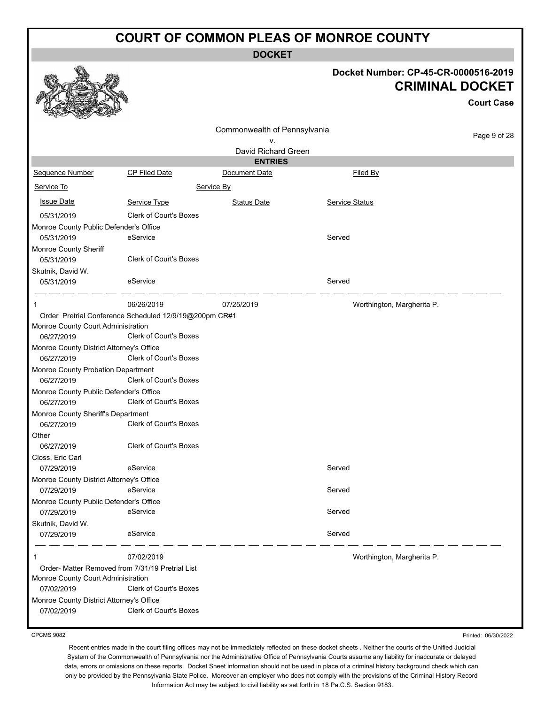**DOCKET**

|                                                  |                                                        | <b>DOCKET</b>                |                                      |                                             |
|--------------------------------------------------|--------------------------------------------------------|------------------------------|--------------------------------------|---------------------------------------------|
|                                                  |                                                        |                              | Docket Number: CP-45-CR-0000516-2019 | <b>CRIMINAL DOCKET</b><br><b>Court Case</b> |
|                                                  |                                                        | Commonwealth of Pennsylvania |                                      |                                             |
|                                                  |                                                        | v.                           |                                      | Page 9 of 28                                |
|                                                  |                                                        | David Richard Green          |                                      |                                             |
|                                                  |                                                        | <b>ENTRIES</b>               |                                      |                                             |
| Sequence Number                                  | CP Filed Date                                          | Document Date                | Filed By                             |                                             |
| Service To                                       |                                                        | Service By                   |                                      |                                             |
| <b>Issue Date</b>                                | Service Type                                           | <b>Status Date</b>           | Service Status                       |                                             |
| 05/31/2019                                       | Clerk of Court's Boxes                                 |                              |                                      |                                             |
| Monroe County Public Defender's Office           |                                                        |                              |                                      |                                             |
| 05/31/2019                                       | eService                                               |                              | Served                               |                                             |
| Monroe County Sheriff                            |                                                        |                              |                                      |                                             |
| 05/31/2019                                       | Clerk of Court's Boxes                                 |                              |                                      |                                             |
| Skutnik, David W.                                |                                                        |                              |                                      |                                             |
| 05/31/2019                                       | eService                                               |                              | Served                               |                                             |
| $\mathbf 1$                                      | 06/26/2019                                             | 07/25/2019                   | Worthington, Margherita P.           |                                             |
|                                                  | Order Pretrial Conference Scheduled 12/9/19@200pm CR#1 |                              |                                      |                                             |
| Monroe County Court Administration               |                                                        |                              |                                      |                                             |
| 06/27/2019                                       | Clerk of Court's Boxes                                 |                              |                                      |                                             |
| Monroe County District Attorney's Office         |                                                        |                              |                                      |                                             |
| 06/27/2019                                       | Clerk of Court's Boxes                                 |                              |                                      |                                             |
| Monroe County Probation Department               |                                                        |                              |                                      |                                             |
| 06/27/2019                                       | Clerk of Court's Boxes                                 |                              |                                      |                                             |
| Monroe County Public Defender's Office           |                                                        |                              |                                      |                                             |
| 06/27/2019                                       | <b>Clerk of Court's Boxes</b>                          |                              |                                      |                                             |
| Monroe County Sheriff's Department<br>06/27/2019 | Clerk of Court's Boxes                                 |                              |                                      |                                             |
| Other                                            |                                                        |                              |                                      |                                             |
| 06/27/2019                                       | Clerk of Court's Boxes                                 |                              |                                      |                                             |
| Closs, Eric Carl                                 |                                                        |                              |                                      |                                             |
| 07/29/2019                                       | eService                                               |                              | Served                               |                                             |
| Monroe County District Attorney's Office         |                                                        |                              |                                      |                                             |
| 07/29/2019                                       | eService                                               |                              | Served                               |                                             |
| Monroe County Public Defender's Office           |                                                        |                              |                                      |                                             |
| 07/29/2019                                       | eService                                               |                              | Served                               |                                             |
| Skutnik, David W.                                |                                                        |                              |                                      |                                             |
| 07/29/2019                                       | eService                                               |                              | Served                               |                                             |
| 1                                                | 07/02/2019                                             |                              | Worthington, Margherita P.           |                                             |
| Order- Matter Removed from 7/31/19 Pretrial List |                                                        |                              |                                      |                                             |
| Monroe County Court Administration               |                                                        |                              |                                      |                                             |
| 07/02/2019                                       | Clerk of Court's Boxes                                 |                              |                                      |                                             |
| Monroe County District Attorney's Office         |                                                        |                              |                                      |                                             |
| 07/02/2019                                       | Clerk of Court's Boxes                                 |                              |                                      |                                             |
|                                                  |                                                        |                              |                                      |                                             |

CPCMS 9082

Recent entries made in the court filing offices may not be immediately reflected on these docket sheets . Neither the courts of the Unified Judicial System of the Commonwealth of Pennsylvania nor the Administrative Office of Pennsylvania Courts assume any liability for inaccurate or delayed data, errors or omissions on these reports. Docket Sheet information should not be used in place of a criminal history background check which can only be provided by the Pennsylvania State Police. Moreover an employer who does not comply with the provisions of the Criminal History Record Information Act may be subject to civil liability as set forth in 18 Pa.C.S. Section 9183.

Printed: 06/30/2022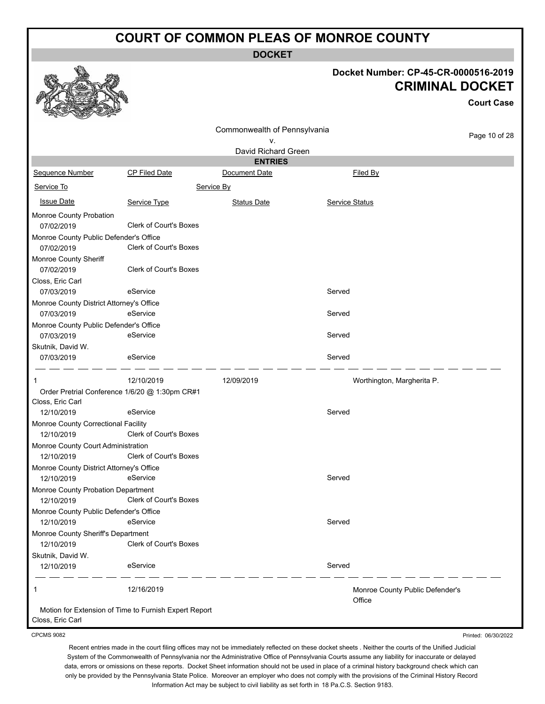**DOCKET**

# **Docket Number: CP-45-CR-0000516-2019 CRIMINAL DOCKET**

Printed: 06/30/2022

|                                          |                                                       |                              | <b>CRIMINAL DOCKET</b>          |                   |  |
|------------------------------------------|-------------------------------------------------------|------------------------------|---------------------------------|-------------------|--|
|                                          |                                                       |                              |                                 | <b>Court Case</b> |  |
|                                          |                                                       | Commonwealth of Pennsylvania |                                 | Page 10 of 28     |  |
|                                          |                                                       | V.                           |                                 |                   |  |
|                                          |                                                       | David Richard Green          |                                 |                   |  |
|                                          |                                                       | <b>ENTRIES</b>               |                                 |                   |  |
| Sequence Number                          | CP Filed Date                                         | Document Date                | Filed By                        |                   |  |
| Service To                               |                                                       | Service By                   |                                 |                   |  |
| <b>Issue Date</b>                        | Service Type                                          | <b>Status Date</b>           | Service Status                  |                   |  |
| Monroe County Probation                  |                                                       |                              |                                 |                   |  |
| 07/02/2019                               | <b>Clerk of Court's Boxes</b>                         |                              |                                 |                   |  |
| Monroe County Public Defender's Office   |                                                       |                              |                                 |                   |  |
| 07/02/2019                               | <b>Clerk of Court's Boxes</b>                         |                              |                                 |                   |  |
| Monroe County Sheriff                    |                                                       |                              |                                 |                   |  |
| 07/02/2019                               | <b>Clerk of Court's Boxes</b>                         |                              |                                 |                   |  |
| Closs, Eric Carl                         |                                                       |                              |                                 |                   |  |
| 07/03/2019                               | eService                                              |                              | Served                          |                   |  |
| Monroe County District Attorney's Office |                                                       |                              |                                 |                   |  |
| 07/03/2019                               | eService                                              |                              | Served                          |                   |  |
| Monroe County Public Defender's Office   |                                                       |                              |                                 |                   |  |
| 07/03/2019                               | eService                                              |                              | Served                          |                   |  |
| Skutnik, David W.                        |                                                       |                              |                                 |                   |  |
| 07/03/2019                               | eService                                              |                              | Served                          |                   |  |
|                                          |                                                       |                              |                                 |                   |  |
|                                          | 12/10/2019                                            | 12/09/2019                   | Worthington, Margherita P.      |                   |  |
|                                          | Order Pretrial Conference 1/6/20 @ 1:30pm CR#1        |                              |                                 |                   |  |
| Closs, Eric Carl                         |                                                       |                              |                                 |                   |  |
| 12/10/2019                               | eService                                              |                              | Served                          |                   |  |
| Monroe County Correctional Facility      |                                                       |                              |                                 |                   |  |
| 12/10/2019                               | Clerk of Court's Boxes                                |                              |                                 |                   |  |
| Monroe County Court Administration       |                                                       |                              |                                 |                   |  |
| 12/10/2019                               | <b>Clerk of Court's Boxes</b>                         |                              |                                 |                   |  |
| Monroe County District Attorney's Office |                                                       |                              |                                 |                   |  |
| 12/10/2019                               | eService                                              |                              | Served                          |                   |  |
| Monroe County Probation Department       |                                                       |                              |                                 |                   |  |
| 12/10/2019                               | <b>Clerk of Court's Boxes</b>                         |                              |                                 |                   |  |
| Monroe County Public Defender's Office   |                                                       |                              |                                 |                   |  |
| 12/10/2019                               | eService                                              |                              | Served                          |                   |  |
| Monroe County Sheriff's Department       |                                                       |                              |                                 |                   |  |
| 12/10/2019                               | Clerk of Court's Boxes                                |                              |                                 |                   |  |
| Skutnik, David W.                        |                                                       |                              |                                 |                   |  |
| 12/10/2019                               | eService                                              |                              | Served                          |                   |  |
|                                          |                                                       |                              |                                 |                   |  |
| 1                                        | 12/16/2019                                            |                              | Monroe County Public Defender's |                   |  |
|                                          |                                                       |                              | Office                          |                   |  |
|                                          | Motion for Extension of Time to Furnish Expert Report |                              |                                 |                   |  |
| Closs, Eric Carl                         |                                                       |                              |                                 |                   |  |

CPCMS 9082

a An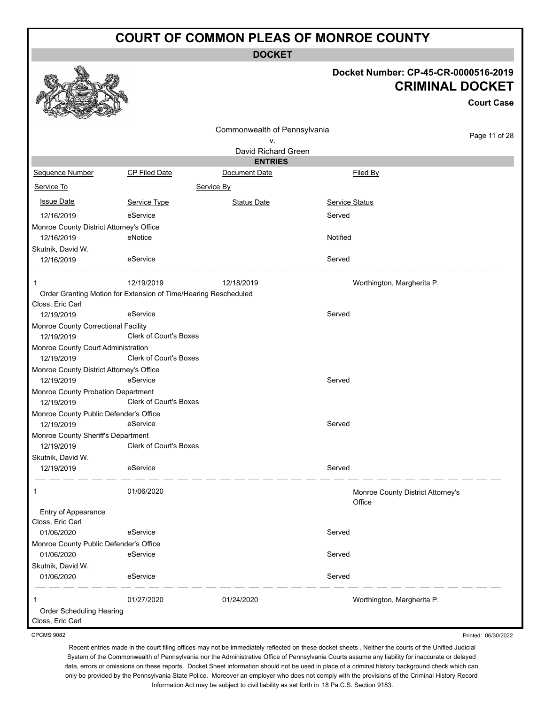**DOCKET**

#### **Docket Number: CP-45-CR-0000516-2019 CRIMINAL DOCKET**

**Court Case** Page 11 of 28 Commonwealth of Pennsylvania v. David Richard Green **ENTRIES** Sequence Number CP Filed Date Document Date **Document Date** Filed By Service To Service By **Issue Date Service Type** Service Type Status Date Service Status Date Service Status Service Status **Service Status** 12/16/2019 eService Served Monroe County District Attorney's Office 12/16/2019 eNotice Notified Skutnik, David W. 12/16/2019 eService Served 1 12/19/2019 12/18/2019 Worthington, Margherita P. Order Granting Motion for Extension of Time/Hearing Rescheduled Closs, Eric Carl 12/19/2019 eService Served Monroe County Correctional Facility 12/19/2019 Clerk of Court's Boxes Monroe County Court Administration 12/19/2019 Clerk of Court's Boxes Monroe County District Attorney's Office 12/19/2019 eService Served Monroe County Probation Department 12/19/2019 Clerk of Court's Boxes Monroe County Public Defender's Office 12/19/2019 eService Served Monroe County Sheriff's Department 12/19/2019 Clerk of Court's Boxes Skutnik, David W. 12/19/2019 eService Served 1 01/06/2020 Monroe County District Attorney's **Office** Entry of Appearance Closs, Eric Carl 01/06/2020 eService entertainment of the Served Monroe County Public Defender's Office 01/06/2020 eService entertainment of the Served Skutnik, David W. 01/06/2020 eService entertainment of the Served 1 01/27/2020 01/24/2020 Worthington, Margherita P. Order Scheduling Hearing

CPCMS 9082

Closs, Eric Carl

Recent entries made in the court filing offices may not be immediately reflected on these docket sheets . Neither the courts of the Unified Judicial System of the Commonwealth of Pennsylvania nor the Administrative Office of Pennsylvania Courts assume any liability for inaccurate or delayed data, errors or omissions on these reports. Docket Sheet information should not be used in place of a criminal history background check which can only be provided by the Pennsylvania State Police. Moreover an employer who does not comply with the provisions of the Criminal History Record Information Act may be subject to civil liability as set forth in 18 Pa.C.S. Section 9183.

Printed: 06/30/2022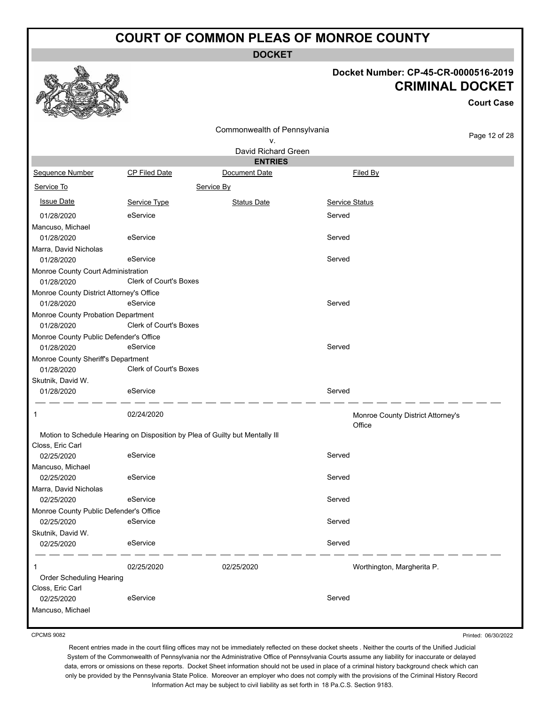**DOCKET**

#### **Docket Number: CP-45-CR-0000516-2019 CRIMINAL DOCKET**

**Court Case**

|                                          |                               | Commonwealth of Pennsylvania                                                 |                |                                   |  |
|------------------------------------------|-------------------------------|------------------------------------------------------------------------------|----------------|-----------------------------------|--|
|                                          |                               | ۷.                                                                           |                | Page 12 of 28                     |  |
|                                          |                               | David Richard Green                                                          |                |                                   |  |
|                                          |                               | <b>ENTRIES</b>                                                               |                |                                   |  |
| Sequence Number                          | <b>CP Filed Date</b>          | Document Date                                                                |                | Filed By                          |  |
| Service To<br>Service By                 |                               |                                                                              |                |                                   |  |
| <b>Issue Date</b>                        | Service Type                  | <b>Status Date</b>                                                           | Service Status |                                   |  |
| 01/28/2020                               | eService                      |                                                                              | Served         |                                   |  |
| Mancuso, Michael                         |                               |                                                                              |                |                                   |  |
| 01/28/2020                               | eService                      |                                                                              | Served         |                                   |  |
| Marra, David Nicholas                    |                               |                                                                              |                |                                   |  |
| 01/28/2020                               | eService                      |                                                                              | Served         |                                   |  |
| Monroe County Court Administration       |                               |                                                                              |                |                                   |  |
| 01/28/2020                               | Clerk of Court's Boxes        |                                                                              |                |                                   |  |
| Monroe County District Attorney's Office |                               |                                                                              |                |                                   |  |
| 01/28/2020                               | eService                      |                                                                              | Served         |                                   |  |
| Monroe County Probation Department       |                               |                                                                              |                |                                   |  |
| 01/28/2020                               | <b>Clerk of Court's Boxes</b> |                                                                              |                |                                   |  |
| Monroe County Public Defender's Office   |                               |                                                                              |                |                                   |  |
| 01/28/2020                               | eService                      |                                                                              | Served         |                                   |  |
| Monroe County Sheriff's Department       |                               |                                                                              |                |                                   |  |
| 01/28/2020                               | <b>Clerk of Court's Boxes</b> |                                                                              |                |                                   |  |
| Skutnik, David W.                        |                               |                                                                              |                |                                   |  |
| 01/28/2020                               | eService                      |                                                                              | Served         |                                   |  |
| 1                                        | 02/24/2020                    |                                                                              | Office         | Monroe County District Attorney's |  |
|                                          |                               | Motion to Schedule Hearing on Disposition by Plea of Guilty but Mentally III |                |                                   |  |
| Closs, Eric Carl                         |                               |                                                                              |                |                                   |  |
| 02/25/2020                               | eService                      |                                                                              | Served         |                                   |  |
| Mancuso, Michael                         |                               |                                                                              |                |                                   |  |
| 02/25/2020                               | eService                      |                                                                              | Served         |                                   |  |
| Marra, David Nicholas                    |                               |                                                                              |                |                                   |  |
| 02/25/2020                               | eService                      |                                                                              | Served         |                                   |  |
| Monroe County Public Defender's Office   |                               |                                                                              |                |                                   |  |
| 02/25/2020                               | eService                      |                                                                              | Served         |                                   |  |
| Skutnik, David W.                        |                               |                                                                              |                |                                   |  |
| 02/25/2020                               | eService                      |                                                                              | Served         |                                   |  |
| 1                                        | 02/25/2020                    | 02/25/2020                                                                   |                | Worthington, Margherita P.        |  |
| Order Scheduling Hearing                 |                               |                                                                              |                |                                   |  |
| Closs, Eric Carl                         |                               |                                                                              |                |                                   |  |
| 02/25/2020                               | eService                      |                                                                              | Served         |                                   |  |
| Mancuso, Michael                         |                               |                                                                              |                |                                   |  |

CPCMS 9082

Printed: 06/30/2022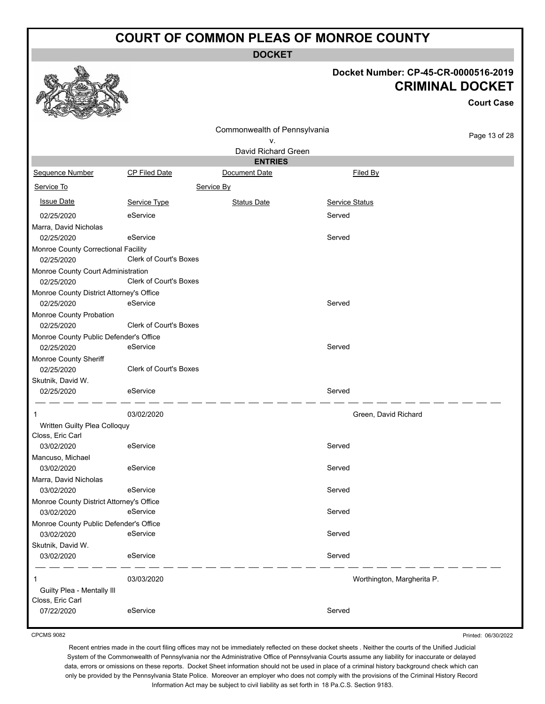**DOCKET**

### **Docket Number: CP-45-CR-0000516-2019 CRIMINAL DOCKET**

**Court Case**

|                                          |                               | Commonwealth of Pennsylvania |                |                            | Page 13 of 28 |
|------------------------------------------|-------------------------------|------------------------------|----------------|----------------------------|---------------|
|                                          |                               | ٧.                           |                |                            |               |
|                                          |                               | David Richard Green          |                |                            |               |
|                                          |                               | <b>ENTRIES</b>               |                |                            |               |
| Sequence Number                          | CP Filed Date                 | Document Date                |                | Filed By                   |               |
| Service To<br>Service By                 |                               |                              |                |                            |               |
| <b>Issue Date</b>                        | Service Type                  | <b>Status Date</b>           | Service Status |                            |               |
| 02/25/2020                               | eService                      |                              | Served         |                            |               |
| Marra, David Nicholas                    |                               |                              |                |                            |               |
| 02/25/2020                               | eService                      |                              | Served         |                            |               |
| Monroe County Correctional Facility      |                               |                              |                |                            |               |
| 02/25/2020                               | Clerk of Court's Boxes        |                              |                |                            |               |
| Monroe County Court Administration       |                               |                              |                |                            |               |
| 02/25/2020                               | Clerk of Court's Boxes        |                              |                |                            |               |
| Monroe County District Attorney's Office |                               |                              |                |                            |               |
| 02/25/2020                               | eService                      |                              | Served         |                            |               |
| Monroe County Probation                  |                               |                              |                |                            |               |
| 02/25/2020                               | <b>Clerk of Court's Boxes</b> |                              |                |                            |               |
| Monroe County Public Defender's Office   |                               |                              |                |                            |               |
| 02/25/2020                               | eService                      |                              | Served         |                            |               |
| Monroe County Sheriff                    |                               |                              |                |                            |               |
| 02/25/2020                               | <b>Clerk of Court's Boxes</b> |                              |                |                            |               |
| Skutnik, David W.                        |                               |                              |                |                            |               |
| 02/25/2020                               | eService                      |                              | Served         |                            |               |
| 1                                        | 03/02/2020                    |                              |                | Green, David Richard       |               |
| Written Guilty Plea Colloquy             |                               |                              |                |                            |               |
| Closs, Eric Carl                         |                               |                              |                |                            |               |
| 03/02/2020                               | eService                      |                              | Served         |                            |               |
| Mancuso, Michael                         |                               |                              |                |                            |               |
| 03/02/2020                               | eService                      |                              | Served         |                            |               |
| Marra, David Nicholas                    |                               |                              |                |                            |               |
| 03/02/2020                               | eService                      |                              | Served         |                            |               |
| Monroe County District Attorney's Office |                               |                              |                |                            |               |
| 03/02/2020                               | eService                      |                              | Served         |                            |               |
| Monroe County Public Defender's Office   |                               |                              |                |                            |               |
| 03/02/2020                               | eService                      |                              | Served         |                            |               |
| Skutnik, David W.                        |                               |                              |                |                            |               |
| 03/02/2020                               | eService                      |                              | Served         |                            |               |
| 1                                        | 03/03/2020                    |                              |                | Worthington, Margherita P. |               |
| Guilty Plea - Mentally III               |                               |                              |                |                            |               |
| Closs, Eric Carl                         |                               |                              |                |                            |               |
| 07/22/2020                               | eService                      |                              | Served         |                            |               |

CPCMS 9082

Printed: 06/30/2022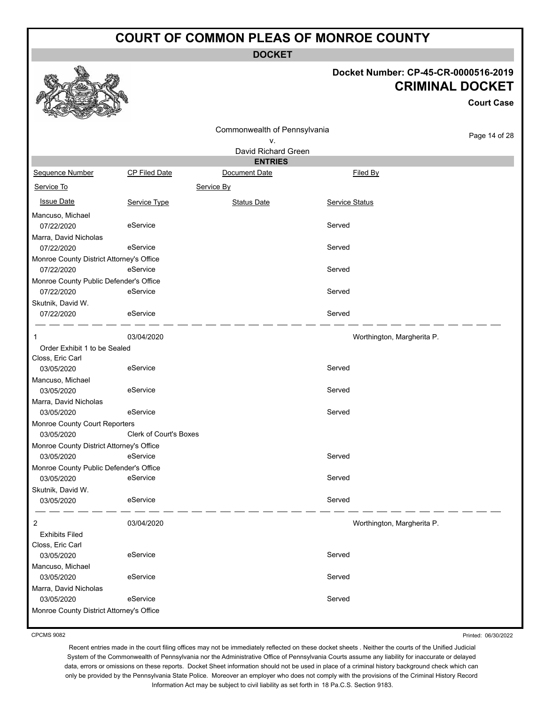**DOCKET**

#### **Docket Number: CP-45-CR-0000516-2019 CRIMINAL DOCKET**

|                                          |                        |                              |                            | <b>Court Case</b> |
|------------------------------------------|------------------------|------------------------------|----------------------------|-------------------|
|                                          |                        | Commonwealth of Pennsylvania |                            |                   |
|                                          |                        | ۷.                           |                            | Page 14 of 28     |
|                                          |                        | David Richard Green          |                            |                   |
|                                          |                        | <b>ENTRIES</b>               |                            |                   |
| Sequence Number                          | <b>CP Filed Date</b>   | Document Date                | Filed By                   |                   |
| Service To                               |                        | Service By                   |                            |                   |
| <b>Issue Date</b>                        | Service Type           | <b>Status Date</b>           | Service Status             |                   |
| Mancuso, Michael                         |                        |                              |                            |                   |
| 07/22/2020                               | eService               |                              | Served                     |                   |
| Marra, David Nicholas                    |                        |                              |                            |                   |
| 07/22/2020                               | eService               |                              | Served                     |                   |
| Monroe County District Attorney's Office |                        |                              |                            |                   |
| 07/22/2020                               | eService               |                              | Served                     |                   |
| Monroe County Public Defender's Office   |                        |                              |                            |                   |
| 07/22/2020                               | eService               |                              | Served                     |                   |
| Skutnik, David W.                        |                        |                              |                            |                   |
| 07/22/2020                               | eService               |                              | Served                     |                   |
| 1                                        | 03/04/2020             |                              | Worthington, Margherita P. |                   |
| Order Exhibit 1 to be Sealed             |                        |                              |                            |                   |
| Closs, Eric Carl                         |                        |                              |                            |                   |
| 03/05/2020                               | eService               |                              | Served                     |                   |
| Mancuso, Michael                         |                        |                              |                            |                   |
| 03/05/2020                               | eService               |                              | Served                     |                   |
| Marra, David Nicholas                    |                        |                              |                            |                   |
| 03/05/2020                               | eService               |                              | Served                     |                   |
| Monroe County Court Reporters            |                        |                              |                            |                   |
| 03/05/2020                               | Clerk of Court's Boxes |                              |                            |                   |
| Monroe County District Attorney's Office |                        |                              |                            |                   |
| 03/05/2020                               | eService               |                              | Served                     |                   |
| Monroe County Public Defender's Office   |                        |                              |                            |                   |
| 03/05/2020                               | eService               |                              | Served                     |                   |
| Skutnik, David W.                        |                        |                              |                            |                   |
| 03/05/2020                               | eService               |                              | Served                     |                   |
| 2                                        | 03/04/2020             |                              | Worthington, Margherita P. |                   |
| <b>Exhibits Filed</b>                    |                        |                              |                            |                   |
| Closs, Eric Carl                         |                        |                              |                            |                   |
| 03/05/2020                               | eService               |                              | Served                     |                   |
| Mancuso, Michael                         |                        |                              |                            |                   |
| 03/05/2020                               | eService               |                              | Served                     |                   |
| Marra, David Nicholas                    |                        |                              |                            |                   |
| 03/05/2020                               | eService               |                              | Served                     |                   |
| Monroe County District Attorney's Office |                        |                              |                            |                   |
|                                          |                        |                              |                            |                   |

CPCMS 9082

磯

Printed: 06/30/2022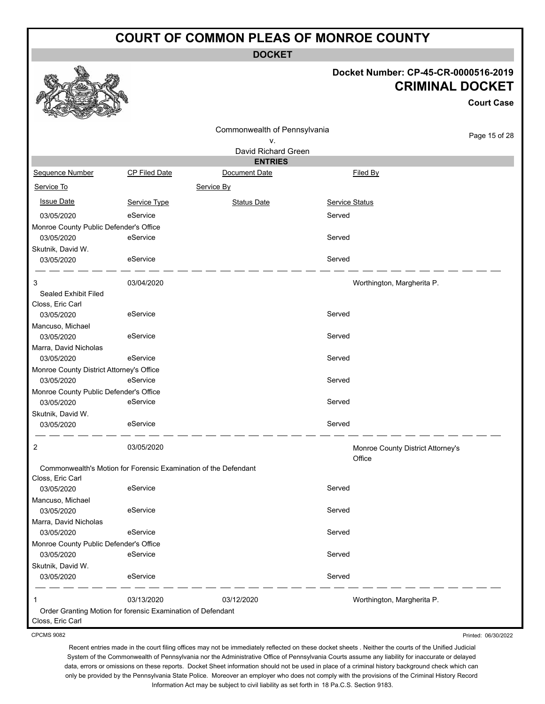**DOCKET**

### **Docket Number: CP-45-CR-0000516-2019 CRIMINAL DOCKET**

**Court Case**

|                                                      |                                                                 | Commonwealth of Pennsylvania |                                             |               |
|------------------------------------------------------|-----------------------------------------------------------------|------------------------------|---------------------------------------------|---------------|
|                                                      |                                                                 | ۷.                           |                                             | Page 15 of 28 |
|                                                      |                                                                 | David Richard Green          |                                             |               |
|                                                      |                                                                 | <b>ENTRIES</b>               |                                             |               |
| Sequence Number                                      | CP Filed Date                                                   | Document Date                | Filed By                                    |               |
| Service To                                           |                                                                 | Service By                   |                                             |               |
| <b>Issue Date</b>                                    | Service Type                                                    | <b>Status Date</b>           | Service Status                              |               |
| 03/05/2020                                           | eService                                                        |                              | Served                                      |               |
| Monroe County Public Defender's Office               |                                                                 |                              |                                             |               |
| 03/05/2020                                           | eService                                                        |                              | Served                                      |               |
| Skutnik, David W.                                    |                                                                 |                              |                                             |               |
| 03/05/2020                                           | eService                                                        |                              | Served                                      |               |
| 3                                                    | 03/04/2020                                                      |                              | Worthington, Margherita P.                  |               |
| Sealed Exhibit Filed                                 |                                                                 |                              |                                             |               |
| Closs, Eric Carl<br>03/05/2020                       | eService                                                        |                              | Served                                      |               |
| Mancuso, Michael                                     |                                                                 |                              |                                             |               |
| 03/05/2020                                           | eService                                                        |                              | Served                                      |               |
| Marra, David Nicholas                                |                                                                 |                              |                                             |               |
| 03/05/2020                                           | eService                                                        |                              | Served                                      |               |
| Monroe County District Attorney's Office             |                                                                 |                              |                                             |               |
| 03/05/2020                                           | eService                                                        |                              | Served                                      |               |
| Monroe County Public Defender's Office               |                                                                 |                              |                                             |               |
| 03/05/2020                                           | eService                                                        |                              | Served                                      |               |
| Skutnik, David W.                                    |                                                                 |                              |                                             |               |
| 03/05/2020                                           | eService                                                        |                              | Served                                      |               |
| 2                                                    | 03/05/2020                                                      |                              | Monroe County District Attorney's<br>Office |               |
|                                                      | Commonwealth's Motion for Forensic Examination of the Defendant |                              |                                             |               |
| Closs, Eric Carl                                     |                                                                 |                              |                                             |               |
| 03/05/2020                                           | eService                                                        |                              | Served                                      |               |
| Mancuso, Michael                                     |                                                                 |                              |                                             |               |
| 03/05/2020                                           | eService                                                        |                              | Served                                      |               |
| Marra, David Nicholas                                |                                                                 |                              | Served                                      |               |
| 03/05/2020                                           | eService                                                        |                              |                                             |               |
| Monroe County Public Defender's Office<br>03/05/2020 | eService                                                        |                              | Served                                      |               |
| Skutnik, David W.                                    |                                                                 |                              |                                             |               |
| 03/05/2020                                           | eService                                                        |                              | Served                                      |               |
| 1                                                    | 03/13/2020                                                      | 03/12/2020                   | Worthington, Margherita P.                  |               |
|                                                      | Order Granting Motion for forensic Examination of Defendant     |                              |                                             |               |
| Closs, Eric Carl                                     |                                                                 |                              |                                             |               |

CPCMS 9082

Recent entries made in the court filing offices may not be immediately reflected on these docket sheets . Neither the courts of the Unified Judicial System of the Commonwealth of Pennsylvania nor the Administrative Office of Pennsylvania Courts assume any liability for inaccurate or delayed data, errors or omissions on these reports. Docket Sheet information should not be used in place of a criminal history background check which can only be provided by the Pennsylvania State Police. Moreover an employer who does not comply with the provisions of the Criminal History Record Information Act may be subject to civil liability as set forth in 18 Pa.C.S. Section 9183.

Printed: 06/30/2022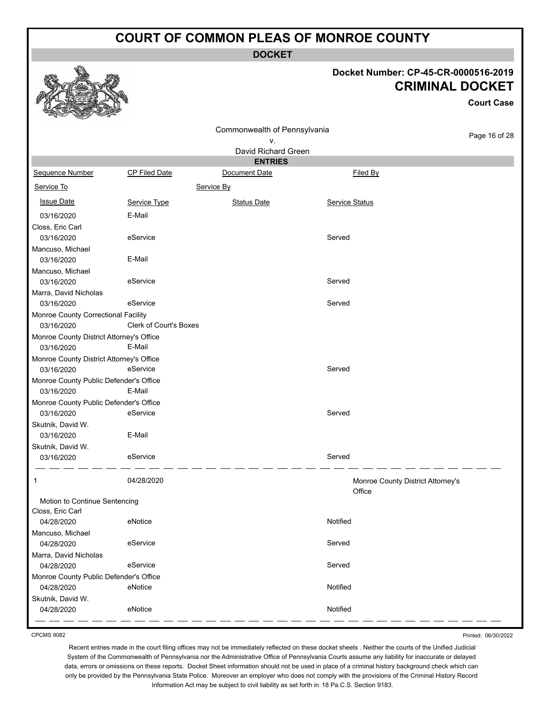**DOCKET**

### **Docket Number: CP-45-CR-0000516-2019 CRIMINAL DOCKET**

**Court Case**

| $\sim$<br><b>SELLER</b><br>$-2$                        |                               |                              |                |                                   |
|--------------------------------------------------------|-------------------------------|------------------------------|----------------|-----------------------------------|
|                                                        |                               | Commonwealth of Pennsylvania |                |                                   |
|                                                        |                               | ٧.                           |                | Page 16 of 28                     |
|                                                        |                               | David Richard Green          |                |                                   |
|                                                        |                               | <b>ENTRIES</b>               |                |                                   |
| <b>Sequence Number</b>                                 | CP Filed Date                 | Document Date                | Filed By       |                                   |
| Service To                                             |                               | Service By                   |                |                                   |
| <b>Issue Date</b>                                      | Service Type                  | <b>Status Date</b>           | Service Status |                                   |
| 03/16/2020                                             | E-Mail                        |                              |                |                                   |
| Closs, Eric Carl                                       |                               |                              |                |                                   |
| 03/16/2020                                             | eService                      |                              | Served         |                                   |
| Mancuso, Michael                                       |                               |                              |                |                                   |
| 03/16/2020                                             | E-Mail                        |                              |                |                                   |
| Mancuso, Michael                                       |                               |                              |                |                                   |
| 03/16/2020                                             | eService                      |                              | Served         |                                   |
| Marra, David Nicholas                                  |                               |                              |                |                                   |
| 03/16/2020                                             | eService                      |                              | Served         |                                   |
| Monroe County Correctional Facility                    |                               |                              |                |                                   |
| 03/16/2020                                             | <b>Clerk of Court's Boxes</b> |                              |                |                                   |
| Monroe County District Attorney's Office<br>03/16/2020 | E-Mail                        |                              |                |                                   |
| Monroe County District Attorney's Office               |                               |                              |                |                                   |
| 03/16/2020                                             | eService                      |                              | Served         |                                   |
| Monroe County Public Defender's Office                 |                               |                              |                |                                   |
| 03/16/2020                                             | E-Mail                        |                              |                |                                   |
| Monroe County Public Defender's Office                 |                               |                              |                |                                   |
| 03/16/2020                                             | eService                      |                              | Served         |                                   |
| Skutnik, David W.                                      |                               |                              |                |                                   |
| 03/16/2020                                             | E-Mail                        |                              |                |                                   |
| Skutnik, David W.                                      |                               |                              |                |                                   |
| 03/16/2020                                             | eService                      |                              | Served         |                                   |
| 1                                                      | 04/28/2020                    |                              | Office         | Monroe County District Attorney's |
| Motion to Continue Sentencing                          |                               |                              |                |                                   |
| Closs, Eric Carl                                       |                               |                              |                |                                   |
| 04/28/2020                                             | eNotice                       |                              | Notified       |                                   |
| Mancuso, Michael                                       |                               |                              |                |                                   |
| 04/28/2020                                             | eService                      |                              | Served         |                                   |
| Marra, David Nicholas                                  |                               |                              |                |                                   |
| 04/28/2020                                             | eService                      |                              | Served         |                                   |
| Monroe County Public Defender's Office                 |                               |                              |                |                                   |
| 04/28/2020                                             | eNotice                       |                              | Notified       |                                   |
| Skutnik, David W.                                      |                               |                              |                |                                   |
| 04/28/2020                                             | eNotice                       |                              | Notified       |                                   |

CPCMS 9082

Printed: 06/30/2022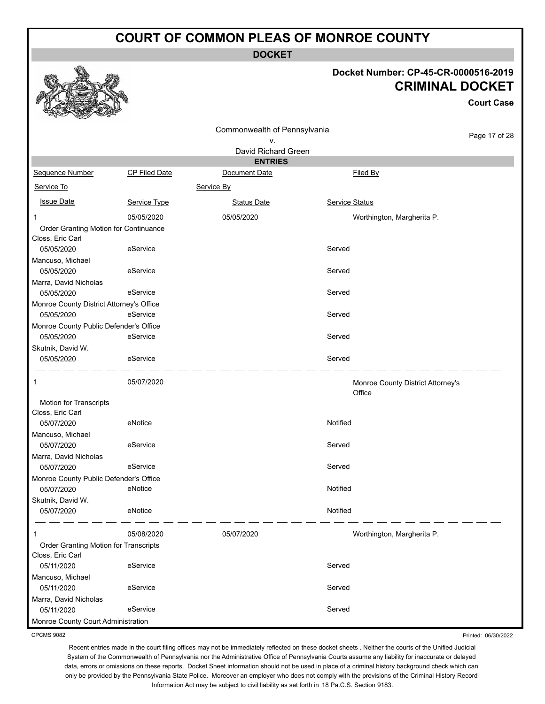**DOCKET**

#### **Docket Number: CP-45-CR-0000516-2019 CRIMINAL DOCKET**

**Court Case**

|                                          |                      | Commonwealth of Pennsylvania |                                             |               |
|------------------------------------------|----------------------|------------------------------|---------------------------------------------|---------------|
|                                          |                      | ۷.                           |                                             | Page 17 of 28 |
|                                          |                      | David Richard Green          |                                             |               |
|                                          |                      | <b>ENTRIES</b>               |                                             |               |
| Sequence Number                          | <b>CP Filed Date</b> | Document Date                | Filed By                                    |               |
| Service To                               |                      | Service By                   |                                             |               |
| <b>Issue Date</b>                        | Service Type         | <b>Status Date</b>           | Service Status                              |               |
| 1                                        | 05/05/2020           | 05/05/2020                   | Worthington, Margherita P.                  |               |
| Order Granting Motion for Continuance    |                      |                              |                                             |               |
| Closs, Eric Carl                         |                      |                              |                                             |               |
| 05/05/2020                               | eService             |                              | Served                                      |               |
| Mancuso, Michael                         |                      |                              |                                             |               |
| 05/05/2020                               | eService             |                              | Served                                      |               |
| Marra, David Nicholas<br>05/05/2020      | eService             |                              | Served                                      |               |
| Monroe County District Attorney's Office |                      |                              |                                             |               |
| 05/05/2020                               | eService             |                              | Served                                      |               |
| Monroe County Public Defender's Office   |                      |                              |                                             |               |
| 05/05/2020                               | eService             |                              | Served                                      |               |
| Skutnik, David W.                        |                      |                              |                                             |               |
| 05/05/2020                               | eService             |                              | Served                                      |               |
| 1                                        | 05/07/2020           |                              | Monroe County District Attorney's<br>Office |               |
| <b>Motion for Transcripts</b>            |                      |                              |                                             |               |
| Closs, Eric Carl                         |                      |                              |                                             |               |
| 05/07/2020                               | eNotice              |                              | Notified                                    |               |
| Mancuso, Michael                         |                      |                              |                                             |               |
| 05/07/2020                               | eService             |                              | Served                                      |               |
| Marra, David Nicholas                    |                      |                              |                                             |               |
| 05/07/2020                               | eService             |                              | Served                                      |               |
| Monroe County Public Defender's Office   | eNotice              |                              | Notified                                    |               |
| 05/07/2020<br>Skutnik, David W.          |                      |                              |                                             |               |
| 05/07/2020                               | eNotice              |                              | Notified                                    |               |
| 1                                        | 05/08/2020           | 05/07/2020                   | Worthington, Margherita P.                  |               |
| Order Granting Motion for Transcripts    |                      |                              |                                             |               |
| Closs, Eric Carl                         |                      |                              |                                             |               |
| 05/11/2020                               | eService             |                              | Served                                      |               |
| Mancuso, Michael                         |                      |                              |                                             |               |
| 05/11/2020                               | eService             |                              | Served                                      |               |
| Marra, David Nicholas                    |                      |                              |                                             |               |
| 05/11/2020                               | eService             |                              | Served                                      |               |
| Monroe County Court Administration       |                      |                              |                                             |               |

CPCMS 9082

Printed: 06/30/2022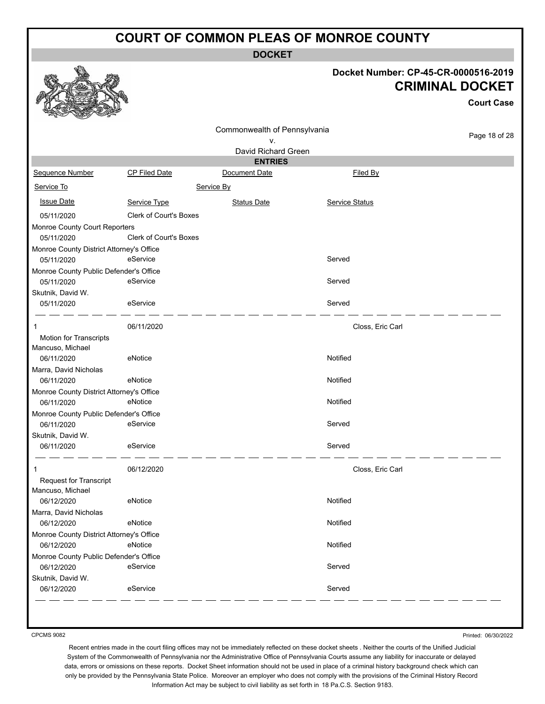**DOCKET**

# **Docket Number: CP-45-CR-0000516-2019**

|                                                      |                               |                              |                       | <b>CRIMINAL DOCKET</b><br><b>Court Case</b> |
|------------------------------------------------------|-------------------------------|------------------------------|-----------------------|---------------------------------------------|
|                                                      |                               | Commonwealth of Pennsylvania |                       |                                             |
|                                                      |                               | ۷.                           |                       | Page 18 of 28                               |
|                                                      |                               | David Richard Green          |                       |                                             |
|                                                      |                               | <b>ENTRIES</b>               |                       |                                             |
| Sequence Number                                      | <b>CP Filed Date</b>          | Document Date                | Filed By              |                                             |
| Service To                                           |                               | Service By                   |                       |                                             |
| <b>Issue Date</b>                                    | Service Type                  | <b>Status Date</b>           | <b>Service Status</b> |                                             |
| 05/11/2020                                           | <b>Clerk of Court's Boxes</b> |                              |                       |                                             |
| Monroe County Court Reporters                        |                               |                              |                       |                                             |
| 05/11/2020                                           | <b>Clerk of Court's Boxes</b> |                              |                       |                                             |
| Monroe County District Attorney's Office             |                               |                              |                       |                                             |
| 05/11/2020                                           | eService                      |                              | Served                |                                             |
| Monroe County Public Defender's Office               |                               |                              |                       |                                             |
| 05/11/2020                                           | eService                      |                              | Served                |                                             |
| Skutnik, David W.                                    |                               |                              |                       |                                             |
| 05/11/2020                                           | eService                      |                              | Served                |                                             |
| 1                                                    | 06/11/2020                    |                              | Closs, Eric Carl      |                                             |
| Motion for Transcripts                               |                               |                              |                       |                                             |
| Mancuso, Michael                                     |                               |                              |                       |                                             |
| 06/11/2020                                           | eNotice                       |                              | Notified              |                                             |
| Marra, David Nicholas                                |                               |                              |                       |                                             |
| 06/11/2020                                           | eNotice                       |                              | Notified              |                                             |
| Monroe County District Attorney's Office             |                               |                              |                       |                                             |
| 06/11/2020                                           | eNotice                       |                              | Notified              |                                             |
| Monroe County Public Defender's Office               |                               |                              |                       |                                             |
| 06/11/2020                                           | eService                      |                              | Served                |                                             |
| Skutnik, David W.<br>06/11/2020                      | eService                      |                              | Served                |                                             |
|                                                      |                               |                              |                       |                                             |
| 1                                                    | 06/12/2020                    |                              | Closs, Eric Carl      |                                             |
| Request for Transcript                               |                               |                              |                       |                                             |
| Mancuso, Michael                                     |                               |                              |                       |                                             |
| 06/12/2020                                           | eNotice                       |                              | Notified              |                                             |
| Marra, David Nicholas                                |                               |                              |                       |                                             |
| 06/12/2020                                           | eNotice                       |                              | Notified              |                                             |
| Monroe County District Attorney's Office             | eNotice                       |                              | Notified              |                                             |
| 06/12/2020<br>Monroe County Public Defender's Office |                               |                              |                       |                                             |
| 06/12/2020                                           | eService                      |                              | Served                |                                             |
| Skutnik, David W.                                    |                               |                              |                       |                                             |
| 06/12/2020                                           | eService                      |                              | Served                |                                             |
|                                                      |                               |                              |                       |                                             |

CPCMS 9082

 $\mathcal{P}$ 

539

ees

Printed: 06/30/2022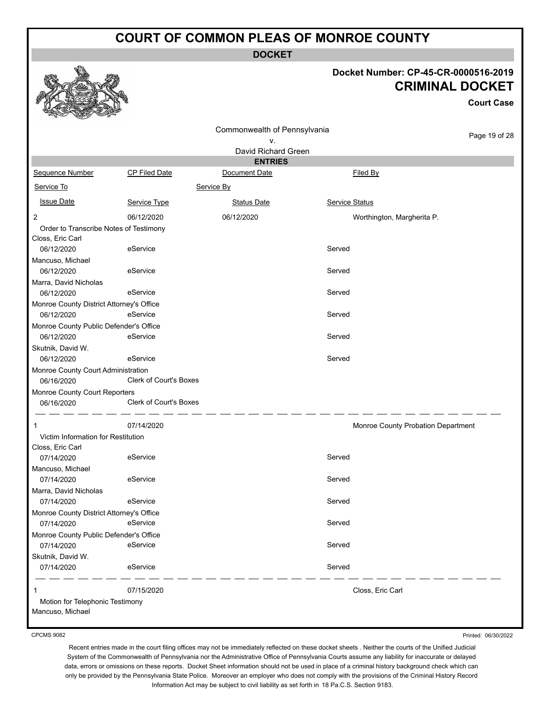**DOCKET**

### **Docket Number: CP-45-CR-0000516-2019 CRIMINAL DOCKET**

**Court Case**

|                                          |                               | Commonwealth of Pennsylvania |                                    |               |
|------------------------------------------|-------------------------------|------------------------------|------------------------------------|---------------|
|                                          |                               | ۷.                           |                                    | Page 19 of 28 |
|                                          |                               | David Richard Green          |                                    |               |
|                                          |                               | <b>ENTRIES</b>               |                                    |               |
| Sequence Number                          | <b>CP Filed Date</b>          | Document Date                | Filed By                           |               |
| Service To                               |                               | Service By                   |                                    |               |
| <b>Issue Date</b>                        | Service Type                  | <b>Status Date</b>           | Service Status                     |               |
| 2                                        | 06/12/2020                    | 06/12/2020                   | Worthington, Margherita P.         |               |
| Order to Transcribe Notes of Testimony   |                               |                              |                                    |               |
| Closs, Eric Carl                         |                               |                              |                                    |               |
| 06/12/2020                               | eService                      |                              | Served                             |               |
| Mancuso, Michael                         |                               |                              |                                    |               |
| 06/12/2020                               | eService                      |                              | Served                             |               |
| Marra, David Nicholas                    |                               |                              |                                    |               |
| 06/12/2020                               | eService                      |                              | Served                             |               |
| Monroe County District Attorney's Office |                               |                              |                                    |               |
| 06/12/2020                               | eService                      |                              | Served                             |               |
| Monroe County Public Defender's Office   |                               |                              |                                    |               |
| 06/12/2020                               | eService                      |                              | Served                             |               |
| Skutnik, David W.                        |                               |                              |                                    |               |
| 06/12/2020                               | eService                      |                              | Served                             |               |
| Monroe County Court Administration       |                               |                              |                                    |               |
| 06/16/2020                               | <b>Clerk of Court's Boxes</b> |                              |                                    |               |
| Monroe County Court Reporters            |                               |                              |                                    |               |
| 06/16/2020                               | Clerk of Court's Boxes        |                              |                                    |               |
| 1                                        | 07/14/2020                    |                              | Monroe County Probation Department |               |
| Victim Information for Restitution       |                               |                              |                                    |               |
| Closs, Eric Carl                         |                               |                              |                                    |               |
| 07/14/2020                               | eService                      |                              | Served                             |               |
| Mancuso, Michael                         |                               |                              |                                    |               |
| 07/14/2020                               | eService                      |                              | Served                             |               |
| Marra, David Nicholas                    |                               |                              |                                    |               |
| 07/14/2020                               | eService                      |                              | Served                             |               |
| Monroe County District Attorney's Office |                               |                              |                                    |               |
| 07/14/2020                               | eService                      |                              | Served                             |               |
| Monroe County Public Defender's Office   |                               |                              |                                    |               |
| 07/14/2020                               | eService                      |                              | Served                             |               |
| Skutnik, David W.                        |                               |                              |                                    |               |
| 07/14/2020                               | eService                      |                              | Served                             |               |
| 1                                        | 07/15/2020                    |                              | Closs, Eric Carl                   |               |
| Motion for Telephonic Testimony          |                               |                              |                                    |               |
| Mancuso, Michael                         |                               |                              |                                    |               |

CPCMS 9082

Printed: 06/30/2022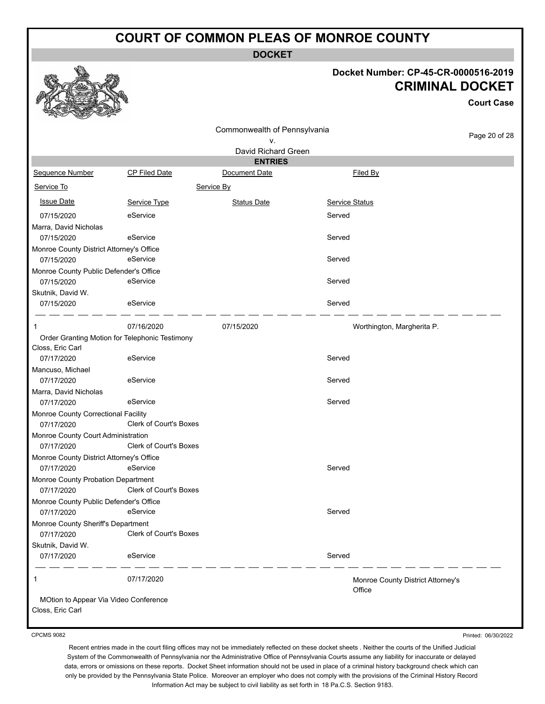**DOCKET**

#### **Docket Number: CP-45-CR-0000516-2019 CRIMINAL DOCKET**

**Court Case**

|                                                           |                                                | Commonwealth of Pennsylvania    |                                   | Page 20 of 28 |
|-----------------------------------------------------------|------------------------------------------------|---------------------------------|-----------------------------------|---------------|
|                                                           |                                                | ۷.                              |                                   |               |
|                                                           |                                                | David Richard Green             |                                   |               |
| Sequence Number                                           | <b>CP Filed Date</b>                           | <b>ENTRIES</b><br>Document Date | Filed By                          |               |
|                                                           |                                                |                                 |                                   |               |
| Service To                                                |                                                | Service By                      |                                   |               |
| <b>Issue Date</b>                                         | Service Type                                   | <b>Status Date</b>              | <b>Service Status</b>             |               |
| 07/15/2020                                                | eService                                       |                                 | Served                            |               |
| Marra, David Nicholas                                     |                                                |                                 |                                   |               |
| 07/15/2020                                                | eService                                       |                                 | Served                            |               |
| Monroe County District Attorney's Office                  |                                                |                                 |                                   |               |
| 07/15/2020                                                | eService                                       |                                 | Served                            |               |
| Monroe County Public Defender's Office                    |                                                |                                 |                                   |               |
| 07/15/2020                                                | eService                                       |                                 | Served                            |               |
| Skutnik, David W.                                         |                                                |                                 |                                   |               |
| 07/15/2020                                                | eService                                       |                                 | Served                            |               |
| -1                                                        | 07/16/2020                                     | 07/15/2020                      | Worthington, Margherita P.        |               |
|                                                           | Order Granting Motion for Telephonic Testimony |                                 |                                   |               |
| Closs, Eric Carl                                          |                                                |                                 |                                   |               |
| 07/17/2020                                                | eService                                       |                                 | Served                            |               |
| Mancuso, Michael                                          |                                                |                                 |                                   |               |
| 07/17/2020                                                | eService                                       |                                 | Served                            |               |
| Marra, David Nicholas                                     |                                                |                                 |                                   |               |
| 07/17/2020                                                | eService                                       |                                 | Served                            |               |
| Monroe County Correctional Facility                       |                                                |                                 |                                   |               |
| 07/17/2020                                                | Clerk of Court's Boxes                         |                                 |                                   |               |
| Monroe County Court Administration                        |                                                |                                 |                                   |               |
| 07/17/2020                                                | Clerk of Court's Boxes                         |                                 |                                   |               |
| Monroe County District Attorney's Office                  |                                                |                                 |                                   |               |
| 07/17/2020                                                | eService                                       |                                 | Served                            |               |
| Monroe County Probation Department                        |                                                |                                 |                                   |               |
| 07/17/2020                                                | Clerk of Court's Boxes                         |                                 |                                   |               |
| Monroe County Public Defender's Office<br>07/17/2020      | eService                                       |                                 | Served                            |               |
| Monroe County Sheriff's Department                        |                                                |                                 |                                   |               |
| 07/17/2020                                                | Clerk of Court's Boxes                         |                                 |                                   |               |
| Skutnik, David W.                                         |                                                |                                 |                                   |               |
| 07/17/2020                                                | eService                                       |                                 | Served                            |               |
| $\mathbf{1}$                                              | 07/17/2020                                     |                                 | Monroe County District Attorney's |               |
|                                                           |                                                |                                 | Office                            |               |
| MOtion to Appear Via Video Conference<br>Closs, Eric Carl |                                                |                                 |                                   |               |

CPCMS 9082

Printed: 06/30/2022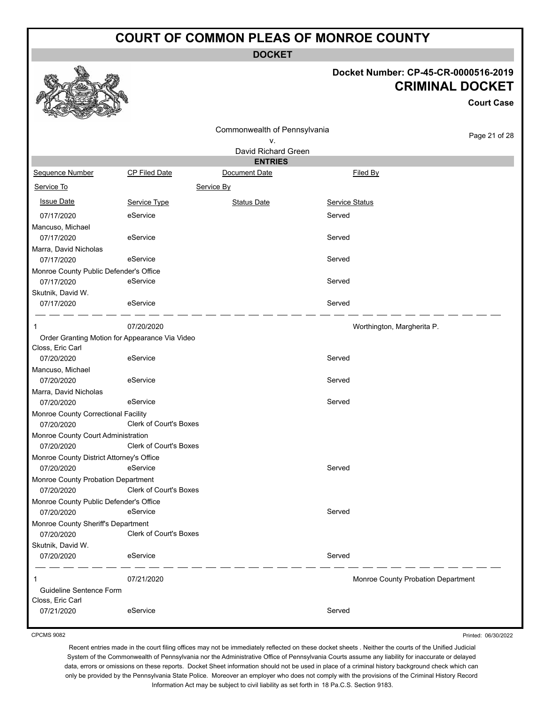**DOCKET**

#### **Docket Number: CP-45-CR-0000516-2019 CRIMINAL DOCKET**

**Court Case**

|                                                   |                        | Commonwealth of Pennsylvania |                            |                                    |
|---------------------------------------------------|------------------------|------------------------------|----------------------------|------------------------------------|
|                                                   |                        | ۷.                           |                            | Page 21 of 28                      |
|                                                   |                        | David Richard Green          |                            |                                    |
|                                                   |                        | <b>ENTRIES</b>               |                            |                                    |
| <b>Sequence Number</b>                            | <b>CP Filed Date</b>   | Document Date                | Filed By                   |                                    |
| Service To                                        |                        | Service By                   |                            |                                    |
| <b>Issue Date</b>                                 | Service Type           | <b>Status Date</b>           | <b>Service Status</b>      |                                    |
| 07/17/2020                                        | eService               |                              | Served                     |                                    |
| Mancuso, Michael                                  |                        |                              |                            |                                    |
| 07/17/2020                                        | eService               |                              | Served                     |                                    |
| Marra, David Nicholas                             |                        |                              |                            |                                    |
| 07/17/2020                                        | eService               |                              | Served                     |                                    |
| Monroe County Public Defender's Office            |                        |                              |                            |                                    |
| 07/17/2020                                        | eService               |                              | Served                     |                                    |
| Skutnik, David W.                                 |                        |                              |                            |                                    |
| 07/17/2020                                        | eService               |                              | Served                     |                                    |
| 1                                                 | 07/20/2020             |                              | Worthington, Margherita P. |                                    |
| Order Granting Motion for Appearance Via Video    |                        |                              |                            |                                    |
| Closs, Eric Carl                                  |                        |                              |                            |                                    |
| 07/20/2020                                        | eService               |                              | Served                     |                                    |
| Mancuso, Michael                                  |                        |                              |                            |                                    |
| 07/20/2020                                        | eService               |                              | Served                     |                                    |
| Marra, David Nicholas                             |                        |                              |                            |                                    |
| 07/20/2020                                        | eService               |                              | Served                     |                                    |
| Monroe County Correctional Facility<br>07/20/2020 | Clerk of Court's Boxes |                              |                            |                                    |
| Monroe County Court Administration                |                        |                              |                            |                                    |
| 07/20/2020                                        | Clerk of Court's Boxes |                              |                            |                                    |
| Monroe County District Attorney's Office          |                        |                              |                            |                                    |
| 07/20/2020                                        | eService               |                              | Served                     |                                    |
| Monroe County Probation Department                |                        |                              |                            |                                    |
| 07/20/2020                                        | Clerk of Court's Boxes |                              |                            |                                    |
| Monroe County Public Defender's Office            |                        |                              |                            |                                    |
| 07/20/2020                                        | eService               |                              | Served                     |                                    |
| Monroe County Sheriff's Department                |                        |                              |                            |                                    |
| 07/20/2020                                        | Clerk of Court's Boxes |                              |                            |                                    |
| Skutnik, David W.                                 |                        |                              |                            |                                    |
| 07/20/2020                                        | eService               |                              | Served                     |                                    |
| 1                                                 | 07/21/2020             |                              |                            | Monroe County Probation Department |
| Guideline Sentence Form                           |                        |                              |                            |                                    |
| Closs, Eric Carl                                  |                        |                              |                            |                                    |
| 07/21/2020                                        | eService               |                              | Served                     |                                    |

CPCMS 9082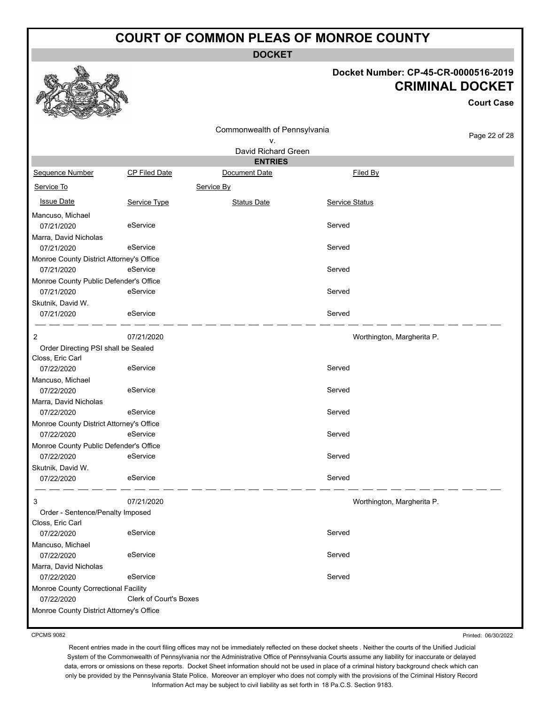**DOCKET**

Commonwealth of Pennsylvania v.

#### **Docket Number: CP-45-CR-0000516-2019 CRIMINAL DOCKET**

**Court Case**

Page 22 of 28

| Sequence Number                                         | <b>CP Filed Date</b> |     |
|---------------------------------------------------------|----------------------|-----|
| Service To                                              |                      | Seı |
| <b>Issue Date</b>                                       | Service Type         |     |
| Mancuso, Michael<br>07/21/2020<br>Marra, David Nicholae | eService             |     |

|                                          |                        | David Richard Green |                            |  |
|------------------------------------------|------------------------|---------------------|----------------------------|--|
|                                          |                        | <b>ENTRIES</b>      |                            |  |
| Sequence Number                          | <b>CP Filed Date</b>   | Document Date       | Filed By                   |  |
| Service To                               |                        | Service By          |                            |  |
| <b>Issue Date</b>                        | Service Type           | <b>Status Date</b>  | Service Status             |  |
| Mancuso, Michael                         |                        |                     |                            |  |
| 07/21/2020                               | eService               |                     | Served                     |  |
| Marra, David Nicholas                    |                        |                     |                            |  |
| 07/21/2020                               | eService               |                     | Served                     |  |
| Monroe County District Attorney's Office |                        |                     |                            |  |
| 07/21/2020                               | eService               |                     | Served                     |  |
| Monroe County Public Defender's Office   |                        |                     |                            |  |
| 07/21/2020                               | eService               |                     | Served                     |  |
| Skutnik, David W.                        |                        |                     |                            |  |
| 07/21/2020                               | eService               |                     | Served                     |  |
| 2                                        | 07/21/2020             |                     | Worthington, Margherita P. |  |
| Order Directing PSI shall be Sealed      |                        |                     |                            |  |
| Closs, Eric Carl                         |                        |                     |                            |  |
| 07/22/2020                               | eService               |                     | Served                     |  |
| Mancuso, Michael                         |                        |                     |                            |  |
| 07/22/2020                               | eService               |                     | Served                     |  |
| Marra, David Nicholas                    |                        |                     |                            |  |
| 07/22/2020                               | eService               |                     | Served                     |  |
| Monroe County District Attorney's Office |                        |                     |                            |  |
| 07/22/2020                               | eService               |                     | Served                     |  |
| Monroe County Public Defender's Office   |                        |                     |                            |  |
| 07/22/2020                               | eService               |                     | Served                     |  |
| Skutnik, David W.                        |                        |                     |                            |  |
| 07/22/2020                               | eService               |                     | Served                     |  |
| 3                                        | 07/21/2020             |                     | Worthington, Margherita P. |  |
| Order - Sentence/Penalty Imposed         |                        |                     |                            |  |
| Closs, Eric Carl                         |                        |                     |                            |  |
| 07/22/2020                               | eService               |                     | Served                     |  |
| Mancuso, Michael                         |                        |                     |                            |  |
| 07/22/2020                               | eService               |                     | Served                     |  |
| Marra, David Nicholas                    |                        |                     |                            |  |
| 07/22/2020                               | eService               |                     | Served                     |  |
| Monroe County Correctional Facility      |                        |                     |                            |  |
| 07/22/2020                               | Clerk of Court's Boxes |                     |                            |  |
| Monroe County District Attorney's Office |                        |                     |                            |  |

CPCMS 9082

Printed: 06/30/2022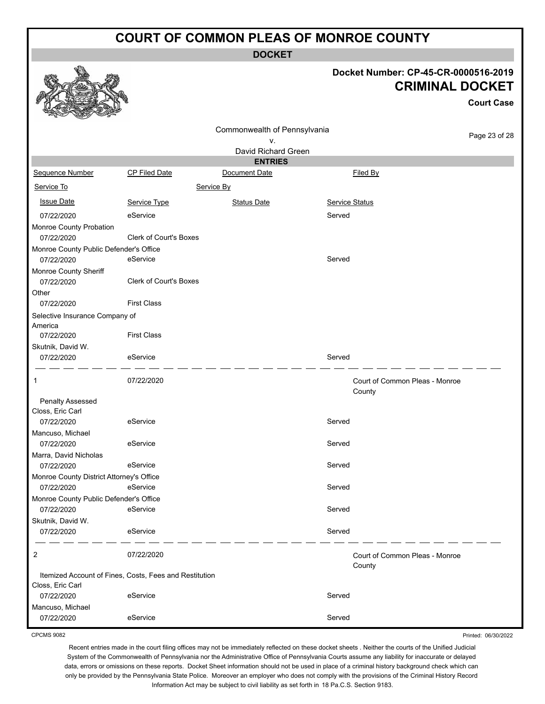**DOCKET**

## **Docket Number: CP-45-CR-0000516-2019 CRIMINAL DOCKET**

**Court Case**

| n<br><b>READY</b><br>Controller of the Controller |                                                        |                              |                |                                          |               |
|---------------------------------------------------|--------------------------------------------------------|------------------------------|----------------|------------------------------------------|---------------|
|                                                   |                                                        | Commonwealth of Pennsylvania |                |                                          |               |
|                                                   |                                                        | ٧.                           |                |                                          | Page 23 of 28 |
|                                                   |                                                        | David Richard Green          |                |                                          |               |
|                                                   |                                                        | <b>ENTRIES</b>               |                |                                          |               |
| Sequence Number                                   | <b>CP Filed Date</b>                                   | Document Date                |                | Filed By                                 |               |
| Service To                                        |                                                        | Service By                   |                |                                          |               |
| <b>Issue Date</b>                                 | Service Type                                           | <b>Status Date</b>           | Service Status |                                          |               |
| 07/22/2020                                        | eService                                               |                              | Served         |                                          |               |
| Monroe County Probation                           |                                                        |                              |                |                                          |               |
| 07/22/2020                                        | Clerk of Court's Boxes                                 |                              |                |                                          |               |
| Monroe County Public Defender's Office            |                                                        |                              |                |                                          |               |
| 07/22/2020                                        | eService                                               |                              | Served         |                                          |               |
| Monroe County Sheriff<br>07/22/2020               | <b>Clerk of Court's Boxes</b>                          |                              |                |                                          |               |
| Other                                             |                                                        |                              |                |                                          |               |
| 07/22/2020                                        | <b>First Class</b>                                     |                              |                |                                          |               |
| Selective Insurance Company of                    |                                                        |                              |                |                                          |               |
| America                                           |                                                        |                              |                |                                          |               |
| 07/22/2020                                        | <b>First Class</b>                                     |                              |                |                                          |               |
| Skutnik, David W.                                 |                                                        |                              |                |                                          |               |
| 07/22/2020                                        | eService                                               |                              | Served         |                                          |               |
| 1                                                 | 07/22/2020                                             |                              |                | Court of Common Pleas - Monroe<br>County |               |
| Penalty Assessed                                  |                                                        |                              |                |                                          |               |
| Closs, Eric Carl                                  |                                                        |                              |                |                                          |               |
| 07/22/2020                                        | eService                                               |                              | Served         |                                          |               |
| Mancuso, Michael                                  |                                                        |                              |                |                                          |               |
| 07/22/2020                                        | eService                                               |                              | Served         |                                          |               |
| Marra, David Nicholas                             |                                                        |                              |                |                                          |               |
| 07/22/2020                                        | eService                                               |                              | Served         |                                          |               |
| Monroe County District Attorney's Office          |                                                        |                              |                |                                          |               |
| 07/22/2020                                        | eService                                               |                              | Served         |                                          |               |
| Monroe County Public Defender's Office            |                                                        |                              |                |                                          |               |
| 07/22/2020                                        | eService                                               |                              | Served         |                                          |               |
| Skutnik, David W.                                 |                                                        |                              |                |                                          |               |
| 07/22/2020                                        | eService                                               |                              | Served         |                                          |               |
| 2                                                 | 07/22/2020                                             |                              |                | Court of Common Pleas - Monroe<br>County |               |
|                                                   | Itemized Account of Fines, Costs, Fees and Restitution |                              |                |                                          |               |
| Closs, Eric Carl                                  |                                                        |                              |                |                                          |               |
| 07/22/2020                                        | eService                                               |                              | Served         |                                          |               |
| Mancuso, Michael                                  |                                                        |                              |                |                                          |               |
| 07/22/2020                                        | eService                                               |                              | Served         |                                          |               |

CPCMS 9082

Printed: 06/30/2022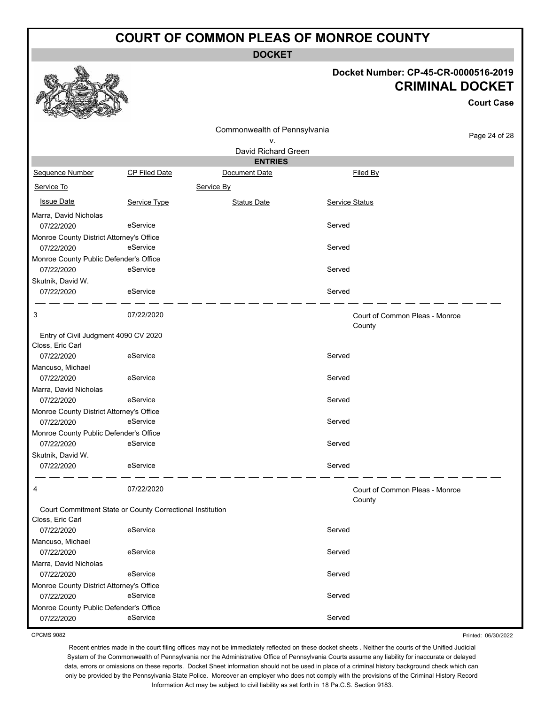**DOCKET**

#### **Docket Number: CP-45-CR-0000516-2019 CRIMINAL DOCKET**

**Court Case**

|                                                      | Commonwealth of Pennsylvania                              |                     |                |                                          |               |
|------------------------------------------------------|-----------------------------------------------------------|---------------------|----------------|------------------------------------------|---------------|
|                                                      |                                                           | ۷.                  |                |                                          | Page 24 of 28 |
|                                                      |                                                           | David Richard Green |                |                                          |               |
|                                                      |                                                           | <b>ENTRIES</b>      |                |                                          |               |
| Sequence Number                                      | <b>CP Filed Date</b>                                      | Document Date       |                | Filed By                                 |               |
| Service To                                           |                                                           | Service By          |                |                                          |               |
| <b>Issue Date</b>                                    | Service Type                                              | <b>Status Date</b>  | Service Status |                                          |               |
| Marra, David Nicholas                                |                                                           |                     |                |                                          |               |
| 07/22/2020                                           | eService                                                  |                     | Served         |                                          |               |
| Monroe County District Attorney's Office             |                                                           |                     |                |                                          |               |
| 07/22/2020                                           | eService                                                  |                     | Served         |                                          |               |
| Monroe County Public Defender's Office               |                                                           |                     |                |                                          |               |
| 07/22/2020                                           | eService                                                  |                     | Served         |                                          |               |
| Skutnik, David W.                                    |                                                           |                     |                |                                          |               |
| 07/22/2020                                           | eService                                                  |                     | Served         |                                          |               |
| 3                                                    | 07/22/2020                                                |                     |                | Court of Common Pleas - Monroe<br>County |               |
| Entry of Civil Judgment 4090 CV 2020                 |                                                           |                     |                |                                          |               |
| Closs, Eric Carl                                     |                                                           |                     |                |                                          |               |
| 07/22/2020                                           | eService                                                  |                     | Served         |                                          |               |
| Mancuso, Michael                                     |                                                           |                     |                |                                          |               |
| 07/22/2020                                           | eService                                                  |                     | Served         |                                          |               |
| Marra, David Nicholas                                |                                                           |                     |                |                                          |               |
| 07/22/2020                                           | eService                                                  |                     | Served         |                                          |               |
| Monroe County District Attorney's Office             |                                                           |                     |                |                                          |               |
| 07/22/2020                                           | eService                                                  |                     | Served         |                                          |               |
| Monroe County Public Defender's Office<br>07/22/2020 | eService                                                  |                     | Served         |                                          |               |
|                                                      |                                                           |                     |                |                                          |               |
| Skutnik, David W.<br>07/22/2020                      | eService                                                  |                     | Served         |                                          |               |
|                                                      |                                                           |                     |                |                                          |               |
| 4                                                    | 07/22/2020                                                |                     |                | Court of Common Pleas - Monroe<br>County |               |
|                                                      | Court Commitment State or County Correctional Institution |                     |                |                                          |               |
| Closs, Eric Carl                                     |                                                           |                     |                |                                          |               |
| 07/22/2020                                           | eService                                                  |                     | Served         |                                          |               |
| Mancuso, Michael                                     |                                                           |                     |                |                                          |               |
| 07/22/2020                                           | eService                                                  |                     | Served         |                                          |               |
| Marra, David Nicholas                                |                                                           |                     |                |                                          |               |
| 07/22/2020                                           | eService                                                  |                     | Served         |                                          |               |
| Monroe County District Attorney's Office             | eService                                                  |                     | Served         |                                          |               |
| 07/22/2020                                           |                                                           |                     |                |                                          |               |
| Monroe County Public Defender's Office               | eService                                                  |                     | Served         |                                          |               |
| 07/22/2020                                           |                                                           |                     |                |                                          |               |

CPCMS 9082

Printed: 06/30/2022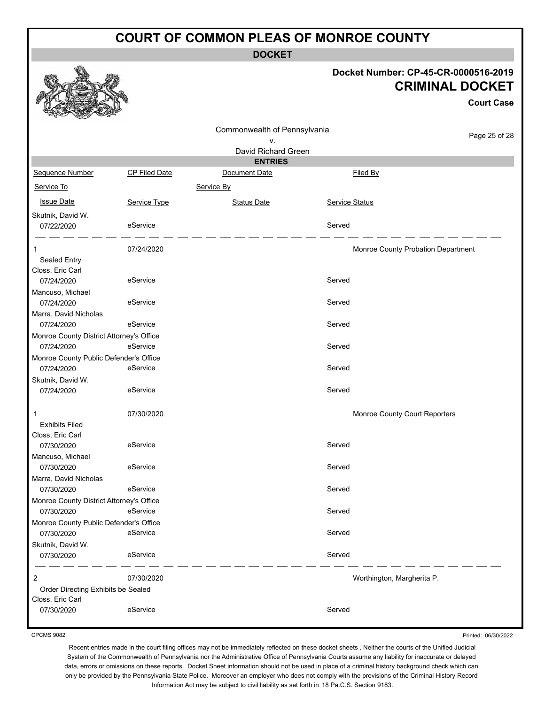**DOCKET**

## **Docket Number: CP-45-CR-0000516-2019 CRIMINAL DOCKET**

**Court Case**

|                                                        |               | Commonwealth of Pennsylvania |                |                                    |
|--------------------------------------------------------|---------------|------------------------------|----------------|------------------------------------|
|                                                        |               | ۷.                           |                | Page 25 of 28                      |
|                                                        |               | David Richard Green          |                |                                    |
|                                                        |               | <b>ENTRIES</b>               |                |                                    |
| Sequence Number                                        | CP Filed Date | Document Date                |                | Filed By                           |
| Service To                                             |               | Service By                   |                |                                    |
| <b>Issue Date</b>                                      | Service Type  | <b>Status Date</b>           | Service Status |                                    |
| Skutnik, David W.                                      |               |                              |                |                                    |
| 07/22/2020                                             | eService      |                              | Served         |                                    |
|                                                        |               |                              |                |                                    |
| 1                                                      | 07/24/2020    |                              |                | Monroe County Probation Department |
| Sealed Entry                                           |               |                              |                |                                    |
| Closs, Eric Carl                                       |               |                              |                |                                    |
| 07/24/2020                                             | eService      |                              | Served         |                                    |
| Mancuso, Michael                                       |               |                              |                |                                    |
| 07/24/2020                                             | eService      |                              | Served         |                                    |
| Marra, David Nicholas                                  | eService      |                              | Served         |                                    |
| 07/24/2020                                             |               |                              |                |                                    |
| Monroe County District Attorney's Office<br>07/24/2020 | eService      |                              | Served         |                                    |
| Monroe County Public Defender's Office                 |               |                              |                |                                    |
| 07/24/2020                                             | eService      |                              | Served         |                                    |
| Skutnik, David W.                                      |               |                              |                |                                    |
| 07/24/2020                                             | eService      |                              | Served         |                                    |
|                                                        |               |                              |                |                                    |
|                                                        | 07/30/2020    |                              |                | Monroe County Court Reporters      |
| <b>Exhibits Filed</b>                                  |               |                              |                |                                    |
| Closs, Eric Carl                                       |               |                              |                |                                    |
| 07/30/2020                                             | eService      |                              | Served         |                                    |
| Mancuso, Michael                                       |               |                              |                |                                    |
| 07/30/2020                                             | eService      |                              | Served         |                                    |
| Marra, David Nicholas                                  |               |                              |                |                                    |
| 07/30/2020                                             | eService      |                              | Served         |                                    |
| Monroe County District Attorney's Office               |               |                              |                |                                    |
| 07/30/2020                                             | eService      |                              | Served         |                                    |
| Monroe County Public Defender's Office                 | eService      |                              |                |                                    |
| 07/30/2020                                             |               |                              | Served         |                                    |
| Skutnik, David W.<br>07/30/2020                        | eService      |                              | Served         |                                    |
|                                                        |               |                              |                |                                    |
| 2                                                      | 07/30/2020    |                              |                | Worthington, Margherita P.         |
| Order Directing Exhibits be Sealed                     |               |                              |                |                                    |
| Closs, Eric Carl                                       |               |                              |                |                                    |
| 07/30/2020                                             | eService      |                              | Served         |                                    |
|                                                        |               |                              |                |                                    |

CPCMS 9082

Printed: 06/30/2022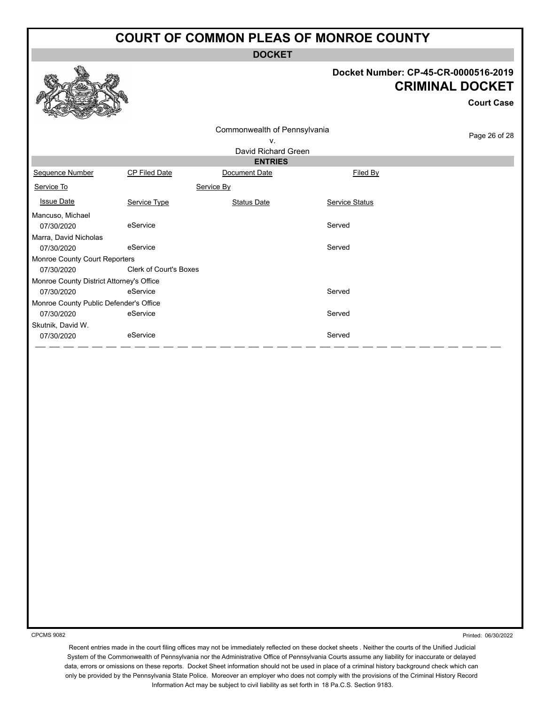**DOCKET**

#### **Docket Number: CP-45-CR-0000516-2019 CRIMINAL DOCKET**

**Court Case**

|                                          |               | Commonwealth of Pennsylvania |                | Page 26 of 28 |  |  |  |
|------------------------------------------|---------------|------------------------------|----------------|---------------|--|--|--|
|                                          | ν.            |                              |                |               |  |  |  |
|                                          |               | David Richard Green          |                |               |  |  |  |
|                                          |               | <b>ENTRIES</b>               |                |               |  |  |  |
| Sequence Number                          | CP Filed Date | Document Date                | Filed By       |               |  |  |  |
| Service To                               |               | Service By                   |                |               |  |  |  |
| <b>Issue Date</b>                        | Service Type  | Status Date                  | Service Status |               |  |  |  |
| Mancuso, Michael                         |               |                              |                |               |  |  |  |
| 07/30/2020                               | eService      |                              | Served         |               |  |  |  |
| Marra, David Nicholas                    |               |                              |                |               |  |  |  |
| 07/30/2020                               | eService      |                              | Served         |               |  |  |  |
| <b>Monroe County Court Reporters</b>     |               |                              |                |               |  |  |  |
| 07/30/2020                               |               | Clerk of Court's Boxes       |                |               |  |  |  |
| Monroe County District Attorney's Office |               |                              |                |               |  |  |  |
| 07/30/2020                               | eService      |                              | Served         |               |  |  |  |
| Monroe County Public Defender's Office   |               |                              |                |               |  |  |  |
| 07/30/2020                               | eService      |                              | Served         |               |  |  |  |
| Skutnik, David W.                        |               |                              |                |               |  |  |  |
| 07/30/2020                               | eService      |                              | Served         |               |  |  |  |
|                                          |               |                              |                |               |  |  |  |

CPCMS 9082

Printed: 06/30/2022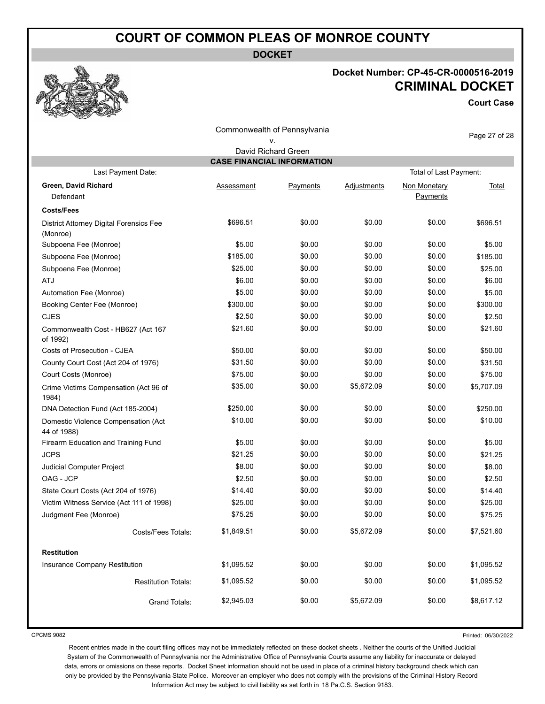**DOCKET**

# **Docket Number: CP-45-CR-0000516-2019 CRIMINAL DOCKET**

**Court Case**

| Commonwealth of Pennsylvania                             |            |          |             |                          |               |  |  |  |  |
|----------------------------------------------------------|------------|----------|-------------|--------------------------|---------------|--|--|--|--|
|                                                          |            | ν.       |             |                          | Page 27 of 28 |  |  |  |  |
| David Richard Green<br><b>CASE FINANCIAL INFORMATION</b> |            |          |             |                          |               |  |  |  |  |
| Last Payment Date:<br>Total of Last Payment:             |            |          |             |                          |               |  |  |  |  |
| Green, David Richard<br>Defendant                        | Assessment | Payments | Adjustments | Non Monetary<br>Payments | Total         |  |  |  |  |
| <b>Costs/Fees</b>                                        |            |          |             |                          |               |  |  |  |  |
| District Attorney Digital Forensics Fee<br>(Monroe)      | \$696.51   | \$0.00   | \$0.00      | \$0.00                   | \$696.51      |  |  |  |  |
| Subpoena Fee (Monroe)                                    | \$5.00     | \$0.00   | \$0.00      | \$0.00                   | \$5.00        |  |  |  |  |
| Subpoena Fee (Monroe)                                    | \$185.00   | \$0.00   | \$0.00      | \$0.00                   | \$185.00      |  |  |  |  |
| Subpoena Fee (Monroe)                                    | \$25.00    | \$0.00   | \$0.00      | \$0.00                   | \$25.00       |  |  |  |  |
| ATJ                                                      | \$6.00     | \$0.00   | \$0.00      | \$0.00                   | \$6.00        |  |  |  |  |
| Automation Fee (Monroe)                                  | \$5.00     | \$0.00   | \$0.00      | \$0.00                   | \$5.00        |  |  |  |  |
| Booking Center Fee (Monroe)                              | \$300.00   | \$0.00   | \$0.00      | \$0.00                   | \$300.00      |  |  |  |  |
| <b>CJES</b>                                              | \$2.50     | \$0.00   | \$0.00      | \$0.00                   | \$2.50        |  |  |  |  |
| Commonwealth Cost - HB627 (Act 167<br>of 1992)           | \$21.60    | \$0.00   | \$0.00      | \$0.00                   | \$21.60       |  |  |  |  |
| Costs of Prosecution - CJEA                              | \$50.00    | \$0.00   | \$0.00      | \$0.00                   | \$50.00       |  |  |  |  |
| County Court Cost (Act 204 of 1976)                      | \$31.50    | \$0.00   | \$0.00      | \$0.00                   | \$31.50       |  |  |  |  |
| Court Costs (Monroe)                                     | \$75.00    | \$0.00   | \$0.00      | \$0.00                   | \$75.00       |  |  |  |  |
| Crime Victims Compensation (Act 96 of<br>1984)           | \$35.00    | \$0.00   | \$5,672.09  | \$0.00                   | \$5,707.09    |  |  |  |  |
| DNA Detection Fund (Act 185-2004)                        | \$250.00   | \$0.00   | \$0.00      | \$0.00                   | \$250.00      |  |  |  |  |
| Domestic Violence Compensation (Act<br>44 of 1988)       | \$10.00    | \$0.00   | \$0.00      | \$0.00                   | \$10.00       |  |  |  |  |
| Firearm Education and Training Fund                      | \$5.00     | \$0.00   | \$0.00      | \$0.00                   | \$5.00        |  |  |  |  |
| <b>JCPS</b>                                              | \$21.25    | \$0.00   | \$0.00      | \$0.00                   | \$21.25       |  |  |  |  |
| Judicial Computer Project                                | \$8.00     | \$0.00   | \$0.00      | \$0.00                   | \$8.00        |  |  |  |  |
| OAG - JCP                                                | \$2.50     | \$0.00   | \$0.00      | \$0.00                   | \$2.50        |  |  |  |  |
| State Court Costs (Act 204 of 1976)                      | \$14.40    | \$0.00   | \$0.00      | \$0.00                   | \$14.40       |  |  |  |  |
| Victim Witness Service (Act 111 of 1998)                 | \$25.00    | \$0.00   | \$0.00      | \$0.00                   | \$25.00       |  |  |  |  |
| Judgment Fee (Monroe)                                    | \$75.25    | \$0.00   | \$0.00      | \$0.00                   | \$75.25       |  |  |  |  |
| Costs/Fees Totals:                                       | \$1,849.51 | \$0.00   | \$5,672.09  | \$0.00                   | \$7,521.60    |  |  |  |  |
| <b>Restitution</b>                                       |            |          |             |                          |               |  |  |  |  |
| Insurance Company Restitution                            | \$1,095.52 | \$0.00   | \$0.00      | \$0.00                   | \$1,095.52    |  |  |  |  |
| <b>Restitution Totals:</b>                               | \$1,095.52 | \$0.00   | \$0.00      | \$0.00                   | \$1,095.52    |  |  |  |  |
| <b>Grand Totals:</b>                                     | \$2,945.03 | \$0.00   | \$5,672.09  | \$0.00                   | \$8,617.12    |  |  |  |  |

CPCMS 9082

Printed: 06/30/2022